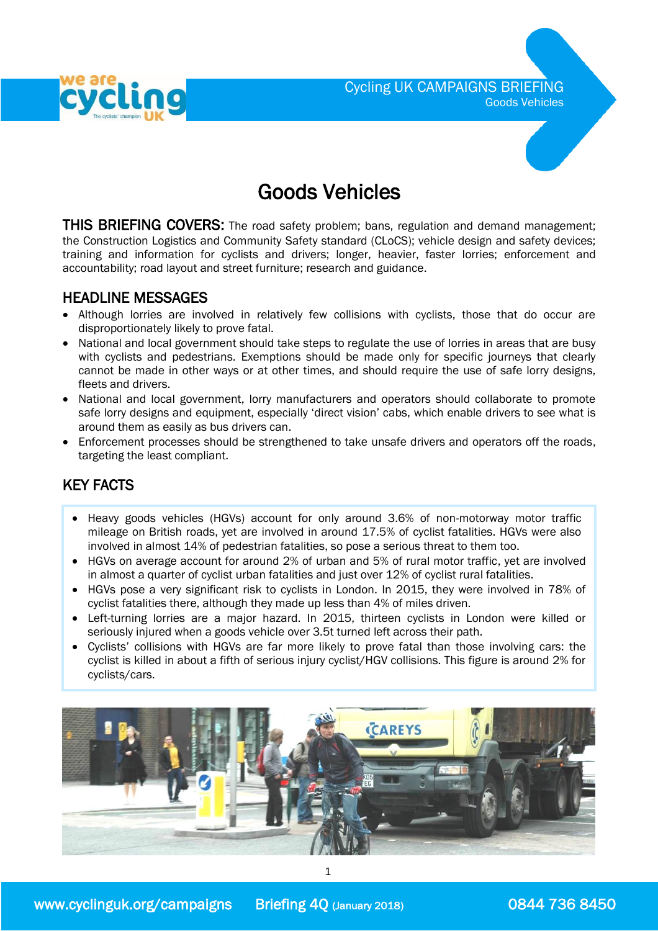

# Goods Vehicles

**THIS BRIEFING COVERS:** The road safety problem; bans, regulation and demand management; the Construction Logistics and Community Safety standard (CLoCS); vehicle design and safety devices; training and information for cyclists and drivers; longer, heavier, faster lorries; enforcement and accountability; road layout and street furniture; research and guidance.

### HEADLINE MESSAGES

- Although lorries are involved in relatively few collisions with cyclists, those that do occur are disproportionately likely to prove fatal.
- National and local government should take steps to regulate the use of lorries in areas that are busy with cyclists and pedestrians. Exemptions should be made only for specific journeys that clearly cannot be made in other ways or at other times, and should require the use of safe lorry designs, fleets and drivers.
- National and local government, lorry manufacturers and operators should collaborate to promote safe lorry designs and equipment, especially 'direct vision' cabs, which enable drivers to see what is around them as easily as bus drivers can.
- Enforcement processes should be strengthened to take unsafe drivers and operators off the roads, targeting the least compliant.

# KEY FACTS

- Heavy goods vehicles (HGVs) account for only around 3.6% of non-motorway motor traffic mileage on British roads, yet are involved in around 17.5% of cyclist fatalities. HGVs were also involved in almost 14% of pedestrian fatalities, so pose a serious threat to them too.
- HGVs on average account for around 2% of urban and 5% of rural motor traffic, yet are involved in almost a quarter of cyclist urban fatalities and just over 12% of cyclist rural fatalities.
- HGVs pose a very significant risk to cyclists in London. In 2015, they were involved in 78% of cyclist fatalities there, although they made up less than 4% of miles driven.
- Left-turning lorries are a major hazard. In 2015, thirteen cyclists in London were killed or seriously injured when a goods vehicle over 3.5t turned left across their path.
- Cyclists' collisions with HGVs are far more likely to prove fatal than those involving cars: the cyclist is killed in about a fifth of serious injury cyclist/HGV collisions. This figure is around 2% for cyclists/cars.

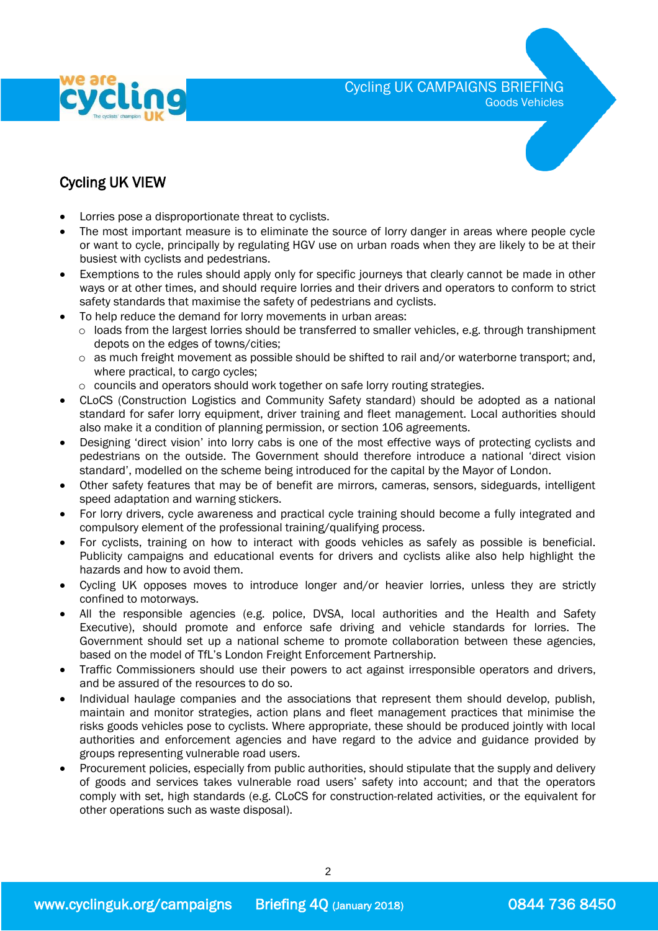

Cycling UK CAMPAIGNS BRIEFING

Goods Vehicles

# Cycling UK VIEW

- Lorries pose a disproportionate threat to cyclists.
- The most important measure is to eliminate the source of lorry danger in areas where people cycle or want to cycle, principally by regulating HGV use on urban roads when they are likely to be at their busiest with cyclists and pedestrians.
- Exemptions to the rules should apply only for specific journeys that clearly cannot be made in other ways or at other times, and should require lorries and their drivers and operators to conform to strict safety standards that maximise the safety of pedestrians and cyclists.
- To help reduce the demand for lorry movements in urban areas:
	- o loads from the largest lorries should be transferred to smaller vehicles, e.g. through transhipment depots on the edges of towns/cities;
	- $\circ$  as much freight movement as possible should be shifted to rail and/or waterborne transport; and, where practical, to cargo cycles;
	- o councils and operators should work together on safe lorry routing strategies.
- CLoCS (Construction Logistics and Community Safety standard) should be adopted as a national standard for safer lorry equipment, driver training and fleet management. Local authorities should also make it a condition of planning permission, or section 106 agreements.
- Designing 'direct vision' into lorry cabs is one of the most effective ways of protecting cyclists and pedestrians on the outside. The Government should therefore introduce a national 'direct vision standard', modelled on the scheme being introduced for the capital by the Mayor of London.
- Other safety features that may be of benefit are mirrors, cameras, sensors, sideguards, intelligent speed adaptation and warning stickers.
- For lorry drivers, cycle awareness and practical cycle training should become a fully integrated and compulsory element of the professional training/qualifying process.
- For cyclists, training on how to interact with goods vehicles as safely as possible is beneficial. Publicity campaigns and educational events for drivers and cyclists alike also help highlight the hazards and how to avoid them.
- Cycling UK opposes moves to introduce longer and/or heavier lorries, unless they are strictly confined to motorways.
- All the responsible agencies (e.g. police, DVSA, local authorities and the Health and Safety Executive), should promote and enforce safe driving and vehicle standards for lorries. The Government should set up a national scheme to promote collaboration between these agencies, based on the model of TfL's London Freight Enforcement Partnership.
- Traffic Commissioners should use their powers to act against irresponsible operators and drivers, and be assured of the resources to do so.
- Individual haulage companies and the associations that represent them should develop, publish, maintain and monitor strategies, action plans and fleet management practices that minimise the risks goods vehicles pose to cyclists. Where appropriate, these should be produced jointly with local authorities and enforcement agencies and have regard to the advice and guidance provided by groups representing vulnerable road users.
- Procurement policies, especially from public authorities, should stipulate that the supply and delivery of goods and services takes vulnerable road users' safety into account; and that the operators comply with set, high standards (e.g. CLoCS for construction-related activities, or the equivalent for other operations such as waste disposal).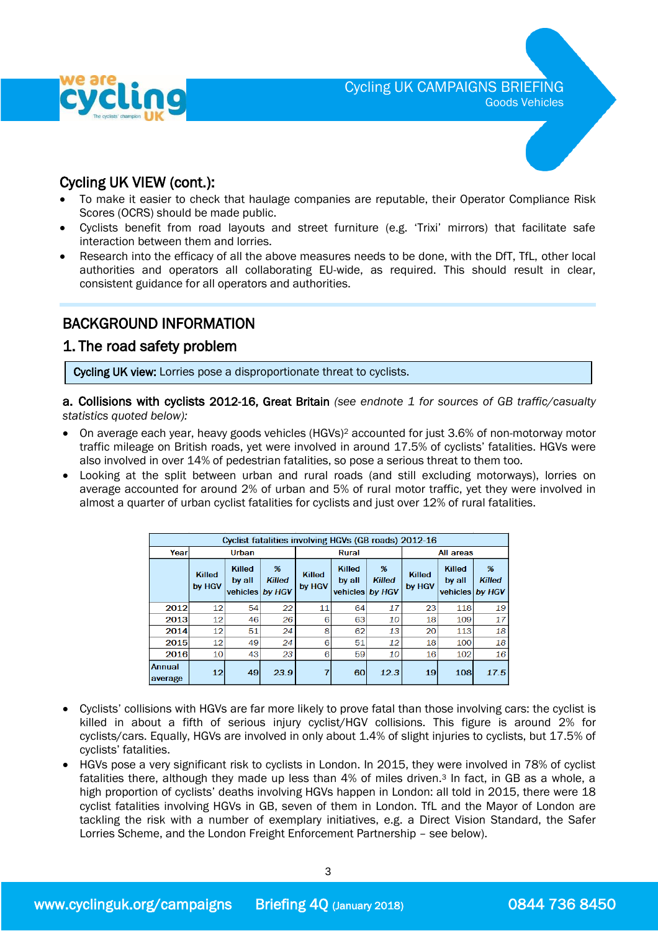

Cycling UK VIEW (cont.):

- To make it easier to check that haulage companies are reputable, their Operator Compliance Risk Scores (OCRS) should be made public.
- Cyclists benefit from road layouts and street furniture (e.g. 'Trixi' mirrors) that facilitate safe interaction between them and lorries.
- Research into the efficacy of all the above measures needs to be done, with the DfT, TfL, other local authorities and operators all collaborating EU-wide, as required. This should result in clear, consistent guidance for all operators and authorities.

# BACKGROUND INFORMATION

### 1. The road safety problem

 $\overline{\phantom{a}}$ Cycling UK view: Lorries pose a disproportionate threat to cyclists.

a. Collisions with cyclists 2012-16, Great Britain *(see endnote 1 for sources of GB traffic/casualty statistics quoted below):*

- On average each year, heavy goods vehicles (HGVs)<sup>2</sup> accounted for just 3.6% of non-motorway motor traffic mileage on British roads, yet were involved in around 17.5% of cyclists' fatalities. HGVs were also involved in over 14% of pedestrian fatalities, so pose a serious threat to them too.
- Looking at the split between urban and rural roads (and still excluding motorways), lorries on average accounted for around 2% of urban and 5% of rural motor traffic, yet they were involved in almost a quarter of urban cyclist fatalities for cyclists and just over 12% of rural fatalities.

| Cyclist fatalities involving HGVs (GB roads) 2012-16 |                         |                                     |                                 |                  |                                     |                              |                  |                                     |                              |  |  |  |
|------------------------------------------------------|-------------------------|-------------------------------------|---------------------------------|------------------|-------------------------------------|------------------------------|------------------|-------------------------------------|------------------------------|--|--|--|
| Year                                                 | Urban                   |                                     |                                 | <b>Rural</b>     |                                     |                              | All areas        |                                     |                              |  |  |  |
|                                                      | <b>Killed</b><br>by HGV | <b>Killed</b><br>by all<br>vehicles | $\%$<br><b>Killed</b><br>by HGV | Killed<br>by HGV | <b>Killed</b><br>by all<br>vehicles | %<br><b>Killed</b><br>by HGV | Killed<br>by HGV | <b>Killed</b><br>by all<br>vehicles | %<br><b>Killed</b><br>by HGV |  |  |  |
| 2012                                                 | 12                      | 54                                  | 22                              | 11               | 64                                  | 17                           | 23               | 118                                 | 19                           |  |  |  |
| 2013                                                 | 12                      | 46                                  | 26                              | 6                | 63                                  | 10                           | 18               | 109                                 | 17                           |  |  |  |
| 2014                                                 | 12                      | 51                                  | 24                              | 8                | 62                                  | 13                           | 20               | 113                                 | 18                           |  |  |  |
| 2015                                                 | 12                      | 49                                  | 24                              | 6                | 51                                  | 12                           | 18               | 100                                 | 18                           |  |  |  |
| 2016                                                 | 10 <sup>1</sup>         | 43                                  | 23                              | 6                | 59                                  | 10                           | 16               | 102                                 | 16                           |  |  |  |
| Annual<br>average                                    | 12                      | 49                                  | 23.9                            |                  | 60                                  | 12.3                         | 19               | 108                                 | 17.5                         |  |  |  |

- Cyclists' collisions with HGVs are far more likely to prove fatal than those involving cars: the cyclist is killed in about a fifth of serious injury cyclist/HGV collisions. This figure is around 2% for cyclists/cars. Equally, HGVs are involved in only about 1.4% of slight injuries to cyclists, but 17.5% of cyclists' fatalities.
- HGVs pose a very significant risk to cyclists in London. In 2015, they were involved in 78% of cyclist fatalities there, although they made up less than 4% of miles driven.<sup>3</sup> In fact, in GB as a whole, a high proportion of cyclists' deaths involving HGVs happen in London: all told in 2015, there were 18 cyclist fatalities involving HGVs in GB, seven of them in London. TfL and the Mayor of London are tackling the risk with a number of exemplary initiatives, e.g. a Direct Vision Standard, the Safer Lorries Scheme, and the London Freight Enforcement Partnership – see below).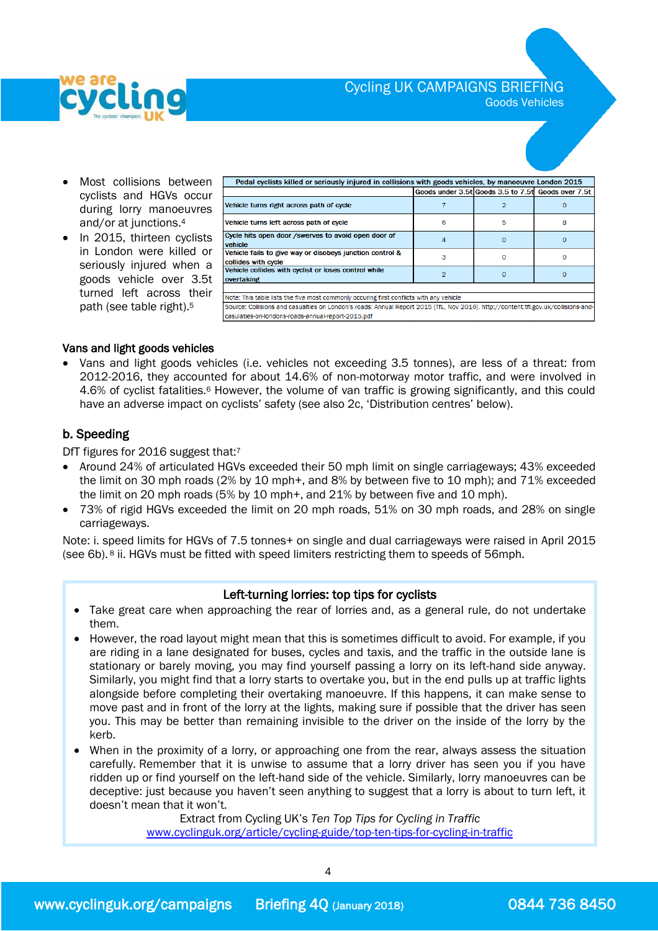

Goods Vehicles

- Most collisions between cyclists and HGVs occur during lorry manoeuvres and/or at junctions. 4
- In 2015, thirteen cyclists in London were killed or seriously injured when a goods vehicle over 3.5t turned left across their path (see table right).<sup>5</sup>

| Pedal cyclists killed or seriously injured in collisions with goods vehicles, by manoeuvre London 2015                             |   |                                                    |   |  |  |  |  |  |
|------------------------------------------------------------------------------------------------------------------------------------|---|----------------------------------------------------|---|--|--|--|--|--|
|                                                                                                                                    |   | Goods under 3.5t Goods 3.5 to 7.5t Goods over 7.5t |   |  |  |  |  |  |
| Vehicle turns right across path of cycle                                                                                           |   |                                                    |   |  |  |  |  |  |
| Vehicle turns left across path of cycle                                                                                            | 6 | 5                                                  | 8 |  |  |  |  |  |
| Cycle hits open door /swerves to avoid open door of<br>vehicle                                                                     | 4 | $\Omega$                                           | 0 |  |  |  |  |  |
| Vehicle fails to give way or disobeys junction control &<br>collides with cycle                                                    | з | o                                                  | o |  |  |  |  |  |
| Vehicle collides with cyclist or loses control while<br>overtaking                                                                 |   |                                                    | o |  |  |  |  |  |
|                                                                                                                                    |   |                                                    |   |  |  |  |  |  |
| Note: This table lists the five most commonly occuring first conflicts with any vehicle                                            |   |                                                    |   |  |  |  |  |  |
| Source: Collisions and casualties on London's roads: Annual Report 2015 (TfL, Nov 2016). http://content.tfl.gov.uk/collisions-and- |   |                                                    |   |  |  |  |  |  |
| easulaties-on-londons-roads-annual-renort-2015 ndf                                                                                 |   |                                                    |   |  |  |  |  |  |

#### Vans and light goods vehicles

 Vans and light goods vehicles (i.e. vehicles not exceeding 3.5 tonnes), are less of a threat: from 2012-2016, they accounted for about 14.6% of non-motorway motor traffic, and were involved in 4.6% of cyclist fatalities.<sup>6</sup> However, the volume of van traffic is growing significantly, and this could have an adverse impact on cyclists' safety (see also 2c, 'Distribution centres' below).

### b. Speeding

DfT figures for 2016 suggest that:7

- Around 24% of articulated HGVs exceeded their 50 mph limit on single carriageways; 43% exceeded the limit on 30 mph roads (2% by 10 mph+, and 8% by between five to 10 mph); and 71% exceeded the limit on 20 mph roads (5% by 10 mph+, and 21% by between five and 10 mph).
- 73% of rigid HGVs exceeded the limit on 20 mph roads, 51% on 30 mph roads, and 28% on single carriageways.

Note: i. speed limits for HGVs of 7.5 tonnes+ on single and dual carriageways were raised in April 2015 (see 6b).<sup>8</sup> ii. HGVs must be fitted with speed limiters restricting them to speeds of 56mph.

#### Left-turning lorries: top tips for cyclists

- Take great care when approaching the rear of lorries and, as a general rule, do not undertake them.
- However, the road layout might mean that this is sometimes difficult to avoid. For example, if you are riding in a lane designated for buses, cycles and taxis, and the traffic in the outside lane is stationary or barely moving, you may find yourself passing a lorry on its left-hand side anyway. Similarly, you might find that a lorry starts to overtake you, but in the end pulls up at traffic lights alongside before completing their overtaking manoeuvre. If this happens, it can make sense to move past and in front of the lorry at the lights, making sure if possible that the driver has seen you. This may be better than remaining invisible to the driver on the inside of the lorry by the kerb.
- When in the proximity of a lorry, or approaching one from the rear, always assess the situation carefully. Remember that it is unwise to assume that a lorry driver has seen you if you have ridden up or find yourself on the left-hand side of the vehicle. Similarly, lorry manoeuvres can be deceptive: just because you haven't seen anything to suggest that a lorry is about to turn left, it doesn't mean that it won't.

Extract from Cycling UK's *Ten Top Tips for Cycling in Traffic* [www.cyclinguk.org/article/cycling-guide/top-ten-tips-for-cycling-in-traffic](http://www.cyclinguk.org/article/cycling-guide/top-ten-tips-for-cycling-in-traffic)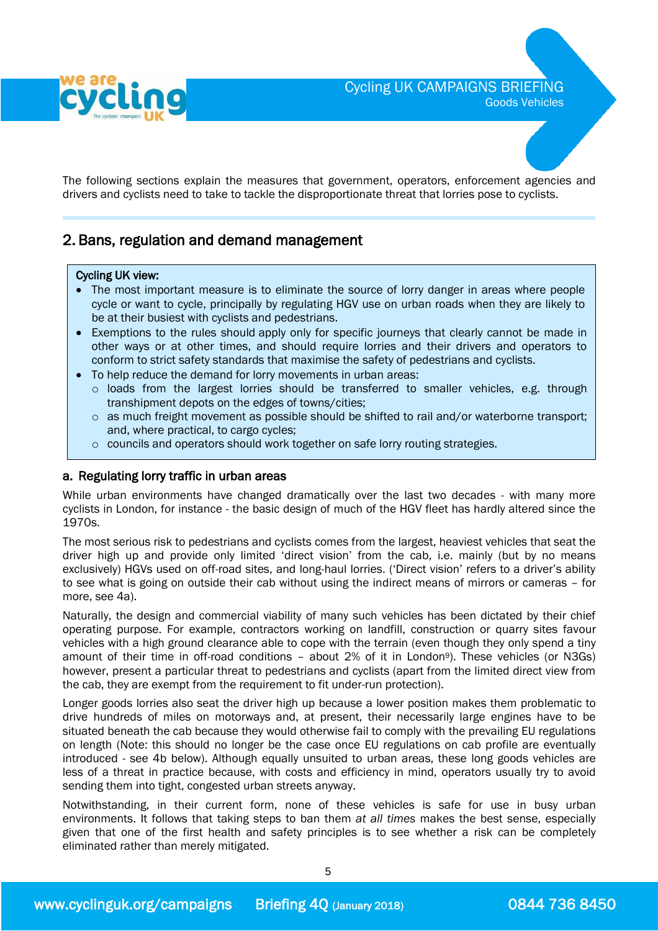

The following sections explain the measures that government, operators, enforcement agencies and drivers and cyclists need to take to tackle the disproportionate threat that lorries pose to cyclists.

### 2. Bans, regulation and demand management

### $\overline{a}$ Cycling UK view:<br>c. The meet im:

- The most important measure is to eliminate the source of lorry danger in areas where people cycle or want to cycle, principally by regulating HGV use on urban roads when they are likely to be at their busiest with cyclists and pedestrians.
- Exemptions to the rules should apply only for specific journeys that clearly cannot be made in other ways or at other times, and should require lorries and their drivers and operators to conform to strict safety standards that maximise the safety of pedestrians and cyclists.
- To help reduce the demand for lorry movements in urban areas:
	- o loads from the largest lorries should be transferred to smaller vehicles, e.g. through transhipment depots on the edges of towns/cities;
	- o as much freight movement as possible should be shifted to rail and/or waterborne transport; and, where practical, to cargo cycles;
	- o councils and operators should work together on safe lorry routing strategies.

### a. Regulating lorry traffic in urban areas

While urban environments have changed dramatically over the last two decades - with many more cyclists in London, for instance - the basic design of much of the HGV fleet has hardly altered since the 1970s.

The most serious risk to pedestrians and cyclists comes from the largest, heaviest vehicles that seat the driver high up and provide only limited 'direct vision' from the cab, i.e. mainly (but by no means exclusively) HGVs used on off-road sites, and long-haul lorries. ('Direct vision' refers to a driver's ability to see what is going on outside their cab without using the indirect means of mirrors or cameras – for more, see 4a).

Naturally, the design and commercial viability of many such vehicles has been dictated by their chief operating purpose. For example, contractors working on landfill, construction or quarry sites favour vehicles with a high ground clearance able to cope with the terrain (even though they only spend a tiny amount of their time in off-road conditions – about 2% of it in London9). These vehicles (or N3Gs) however, present a particular threat to pedestrians and cyclists (apart from the limited direct view from the cab, they are exempt from the requirement to fit under-run protection).

Longer goods lorries also seat the driver high up because a lower position makes them problematic to drive hundreds of miles on motorways and, at present, their necessarily large engines have to be situated beneath the cab because they would otherwise fail to comply with the prevailing EU regulations on length (Note: this should no longer be the case once EU regulations on cab profile are eventually introduced - see 4b below). Although equally unsuited to urban areas, these long goods vehicles are less of a threat in practice because, with costs and efficiency in mind, operators usually try to avoid sending them into tight, congested urban streets anyway.

Notwithstanding, in their current form, none of these vehicles is safe for use in busy urban environments. It follows that taking steps to ban them *at all times* makes the best sense, especially given that one of the first health and safety principles is to see whether a risk can be completely eliminated rather than merely mitigated.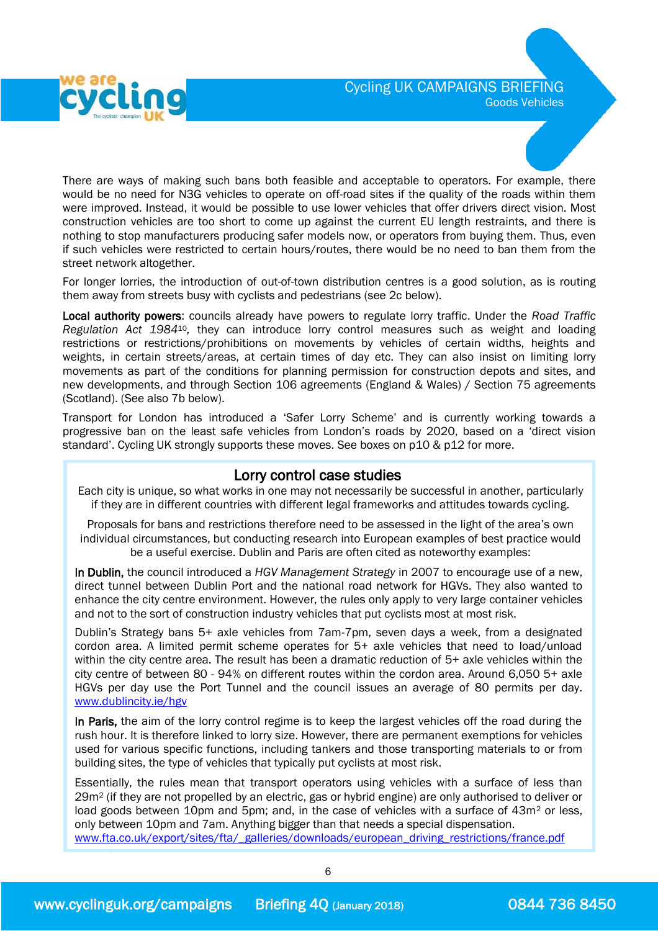

There are ways of making such bans both feasible and acceptable to operators. For example, there would be no need for N3G vehicles to operate on off-road sites if the quality of the roads within them were improved. Instead, it would be possible to use lower vehicles that offer drivers direct vision. Most construction vehicles are too short to come up against the current EU length restraints, and there is nothing to stop manufacturers producing safer models now, or operators from buying them. Thus, even if such vehicles were restricted to certain hours/routes, there would be no need to ban them from the street network altogether.

For longer lorries, the introduction of out-of-town distribution centres is a good solution, as is routing them away from streets busy with cyclists and pedestrians (see 2c below).

Local authority powers: councils already have powers to regulate lorry traffic. Under the *Road Traffic Regulation Act 1984*10*,* they can introduce lorry control measures such as weight and loading restrictions or restrictions/prohibitions on movements by vehicles of certain widths, heights and weights, in certain streets/areas, at certain times of day etc. They can also insist on limiting lorry movements as part of the conditions for planning permission for construction depots and sites, and new developments, and through Section 106 agreements (England & Wales) / Section 75 agreements (Scotland). (See also 7b below).

Transport for London has introduced a 'Safer Lorry Scheme' and is currently working towards a progressive ban on the least safe vehicles from London's roads by 2020, based on a 'direct vision standard'. Cycling UK strongly supports these moves. See boxes on p10 & p12 for more.

### Lorry control case studies

Each city is unique, so what works in one may not necessarily be successful in another, particularly if they are in different countries with different legal frameworks and attitudes towards cycling.

Proposals for bans and restrictions therefore need to be assessed in the light of the area's own individual circumstances, but conducting research into European examples of best practice would be a useful exercise. Dublin and Paris are often cited as noteworthy examples:

In Dublin, the council introduced a *HGV Management Strategy* in 2007 to encourage use of a new, direct tunnel between Dublin Port and the national road network for HGVs. They also wanted to enhance the city centre environment. However, the rules only apply to very large container vehicles and not to the sort of construction industry vehicles that put cyclists most at most risk.

Dublin's Strategy bans 5+ axle vehicles from 7am-7pm, seven days a week, from a designated cordon area. A limited permit scheme operates for 5+ axle vehicles that need to load/unload within the city centre area. The result has been a dramatic reduction of 5+ axle vehicles within the city centre of between 80 - 94% on different routes within the cordon area. Around 6,050 5+ axle HGVs per day use the Port Tunnel and the council issues an average of 80 permits per day. [www.dublincity.ie/hgv](http://www.dublincity.ie/hgv)

In Paris, the aim of the lorry control regime is to keep the largest vehicles off the road during the rush hour. It is therefore linked to lorry size. However, there are permanent exemptions for vehicles used for various specific functions, including tankers and those transporting materials to or from building sites, the type of vehicles that typically put cyclists at most risk.

[www.fta.co.uk/export/sites/fta/\\_galleries/downloads/european\\_driving\\_restrictions/france.pdf](http://www.fta.co.uk/export/sites/fta/_galleries/downloads/european_driving_restrictions/france.pdf) Essentially, the rules mean that transport operators using vehicles with a surface of less than 29m<sup>2</sup> (if they are not propelled by an electric, gas or hybrid engine) are only authorised to deliver or load goods between 10pm and 5pm; and, in the case of vehicles with a surface of  $43m^2$  or less, only between 10pm and 7am. Anything bigger than that needs a special dispensation.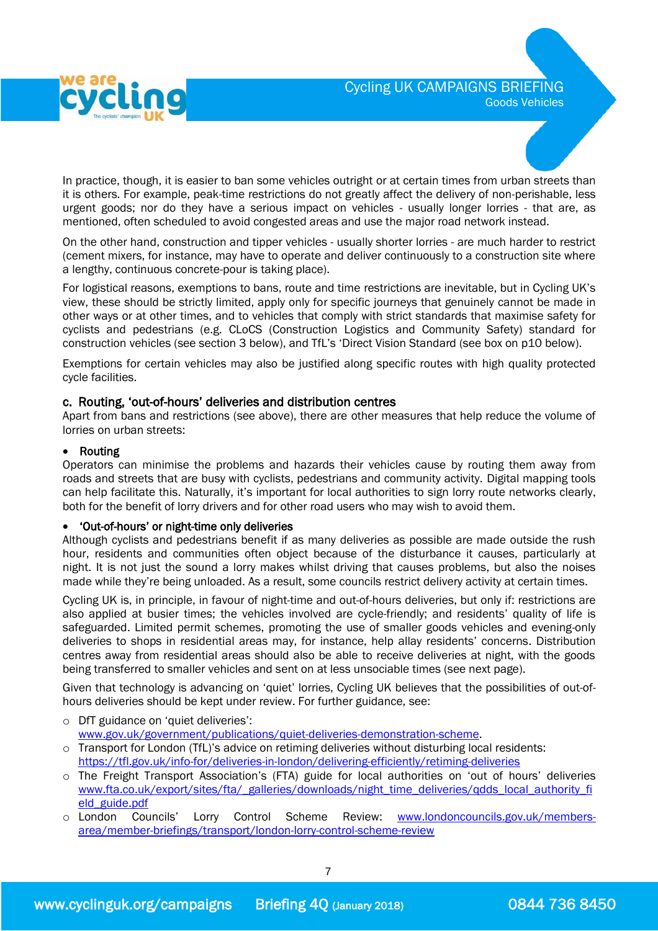

In practice, though, it is easier to ban some vehicles outright or at certain times from urban streets than it is others. For example, peak-time restrictions do not greatly affect the delivery of non-perishable, less urgent goods; nor do they have a serious impact on vehicles - usually longer lorries - that are, as mentioned, often scheduled to avoid congested areas and use the major road network instead.

On the other hand, construction and tipper vehicles - usually shorter lorries - are much harder to restrict (cement mixers, for instance, may have to operate and deliver continuously to a construction site where a lengthy, continuous concrete-pour is taking place).

For logistical reasons, exemptions to bans, route and time restrictions are inevitable, but in Cycling UK's view, these should be strictly limited, apply only for specific journeys that genuinely cannot be made in other ways or at other times, and to vehicles that comply with strict standards that maximise safety for cyclists and pedestrians (e.g. CLoCS (Construction Logistics and Community Safety) standard for construction vehicles (see section 3 below), and TfL's 'Direct Vision Standard (see box on p10 below).

Exemptions for certain vehicles may also be justified along specific routes with high quality protected cycle facilities.

### c. Routing, 'out-of-hours' deliveries and distribution centres

Apart from bans and restrictions (see above), there are other measures that help reduce the volume of lorries on urban streets:

#### Routing

Operators can minimise the problems and hazards their vehicles cause by routing them away from roads and streets that are busy with cyclists, pedestrians and community activity. Digital mapping tools can help facilitate this. Naturally, it's important for local authorities to sign lorry route networks clearly, both for the benefit of lorry drivers and for other road users who may wish to avoid them.

### 'Out-of-hours' or night-time only deliveries

Although cyclists and pedestrians benefit if as many deliveries as possible are made outside the rush hour, residents and communities often object because of the disturbance it causes, particularly at night. It is not just the sound a lorry makes whilst driving that causes problems, but also the noises made while they're being unloaded. As a result, some councils restrict delivery activity at certain times.

Cycling UK is, in principle, in favour of night-time and out-of-hours deliveries, but only if: restrictions are also applied at busier times; the vehicles involved are cycle-friendly; and residents' quality of life is safeguarded. Limited permit schemes, promoting the use of smaller goods vehicles and evening-only deliveries to shops in residential areas may, for instance, help allay residents' concerns. Distribution centres away from residential areas should also be able to receive deliveries at night, with the goods being transferred to smaller vehicles and sent on at less unsociable times (see next page).

Given that technology is advancing on 'quiet' lorries, Cycling UK believes that the possibilities of out-ofhours deliveries should be kept under review. For further guidance, see:

- o DfT guidance on 'quiet deliveries': [www.gov.uk/government/publications/quiet-deliveries-demonstration-scheme.](http://www.gov.uk/government/publications/quiet-deliveries-demonstration-scheme)
- o Transport for London (TfL)'s advice on retiming deliveries without disturbing local residents: <https://tfl.gov.uk/info-for/deliveries-in-london/delivering-efficiently/retiming-deliveries>
- o The Freight Transport Association's (FTA) guide for local authorities on 'out of hours' deliveries [www.fta.co.uk/export/sites/fta/\\_galleries/downloads/night\\_time\\_deliveries/qdds\\_local\\_authority\\_fi](http://www.fta.co.uk/export/sites/fta/_galleries/downloads/night_time_deliveries/qdds_local_authority_field_guide.pdf) [eld\\_guide.pdf](http://www.fta.co.uk/export/sites/fta/_galleries/downloads/night_time_deliveries/qdds_local_authority_field_guide.pdf)
- o London Councils' Lorry Control Scheme Review: [www.londoncouncils.gov.uk/members](http://www.londoncouncils.gov.uk/members-area/member-briefings/transport/london-lorry-control-scheme-review)[area/member-briefings/transport/london-lorry-control-scheme-review](http://www.londoncouncils.gov.uk/members-area/member-briefings/transport/london-lorry-control-scheme-review)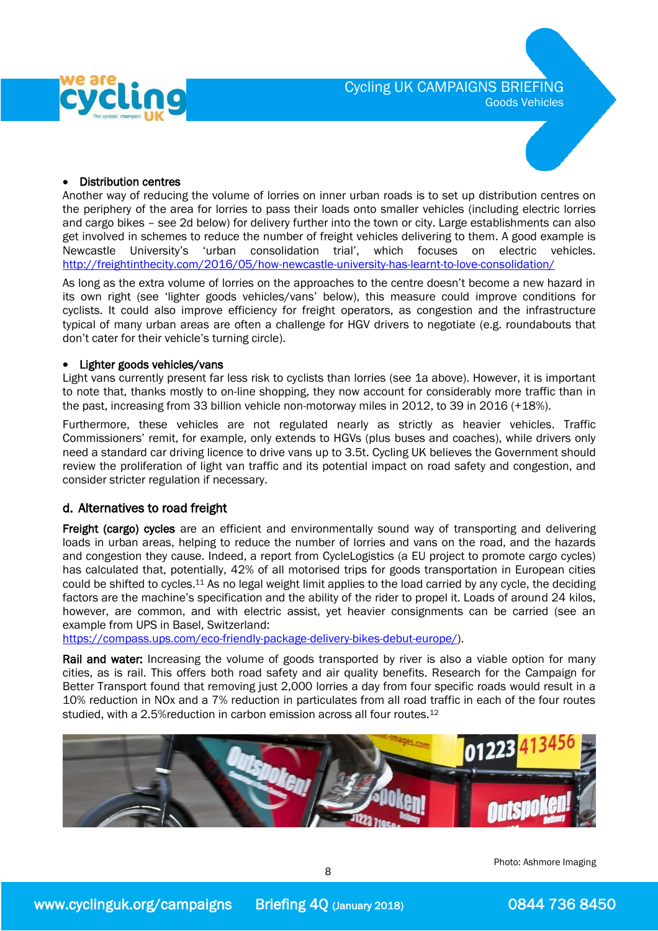



#### Distribution centres

Another way of reducing the volume of lorries on inner urban roads is to set up distribution centres on the periphery of the area for lorries to pass their loads onto smaller vehicles (including electric lorries and cargo bikes – see 2d below) for delivery further into the town or city. Large establishments can also get involved in schemes to reduce the number of freight vehicles delivering to them. A good example is Newcastle University's 'urban consolidation trial', which focuses on electric vehicles. <http://freightinthecity.com/2016/05/how-newcastle-university-has-learnt-to-love-consolidation/>

As long as the extra volume of lorries on the approaches to the centre doesn't become a new hazard in its own right (see 'lighter goods vehicles/vans' below), this measure could improve conditions for cyclists. It could also improve efficiency for freight operators, as congestion and the infrastructure typical of many urban areas are often a challenge for HGV drivers to negotiate (e.g. roundabouts that don't cater for their vehicle's turning circle).

#### Lighter goods vehicles/vans

Light vans currently present far less risk to cyclists than lorries (see 1a above). However, it is important to note that, thanks mostly to on-line shopping, they now account for considerably more traffic than in the past, increasing from 33 billion vehicle non-motorway miles in 2012, to 39 in 2016 (+18%).

Furthermore, these vehicles are not regulated nearly as strictly as heavier vehicles. Traffic Commissioners' remit, for example, only extends to HGVs (plus buses and coaches), while drivers only need a standard car driving licence to drive vans up to 3.5t. Cycling UK believes the Government should review the proliferation of light van traffic and its potential impact on road safety and congestion, and consider stricter regulation if necessary.

### d. Alternatives to road freight

Freight (cargo) cycles are an efficient and environmentally sound way of transporting and delivering loads in urban areas, helping to reduce the number of lorries and vans on the road, and the hazards and congestion they cause. Indeed, a report from CycleLogistics (a EU project to promote cargo cycles) has calculated that, potentially, 42% of all motorised trips for goods transportation in European cities could be shifted to cycles.<sup>11</sup> As no legal weight limit applies to the load carried by any cycle, the deciding factors are the machine's specification and the ability of the rider to propel it. Loads of around 24 kilos, however, are common, and with electric assist, yet heavier consignments can be carried (see an example from UPS in Basel, Switzerland:

[https://compass.ups.com/eco-friendly-package-delivery-bikes-debut-europe/\)](https://compass.ups.com/eco-friendly-package-delivery-bikes-debut-europe/).

Rail and water: Increasing the volume of goods transported by river is also a viable option for many cities, as is rail. This offers both road safety and air quality benefits. Research for the Campaign for Better Transport found that removing just 2,000 lorries a day from four specific roads would result in a 10% reduction in NOx and a 7% reduction in particulates from all road traffic in each of the four routes studied, with a 2.5%reduction in carbon emission across all four routes.<sup>12</sup>



8

Photo: Ashmore Imaging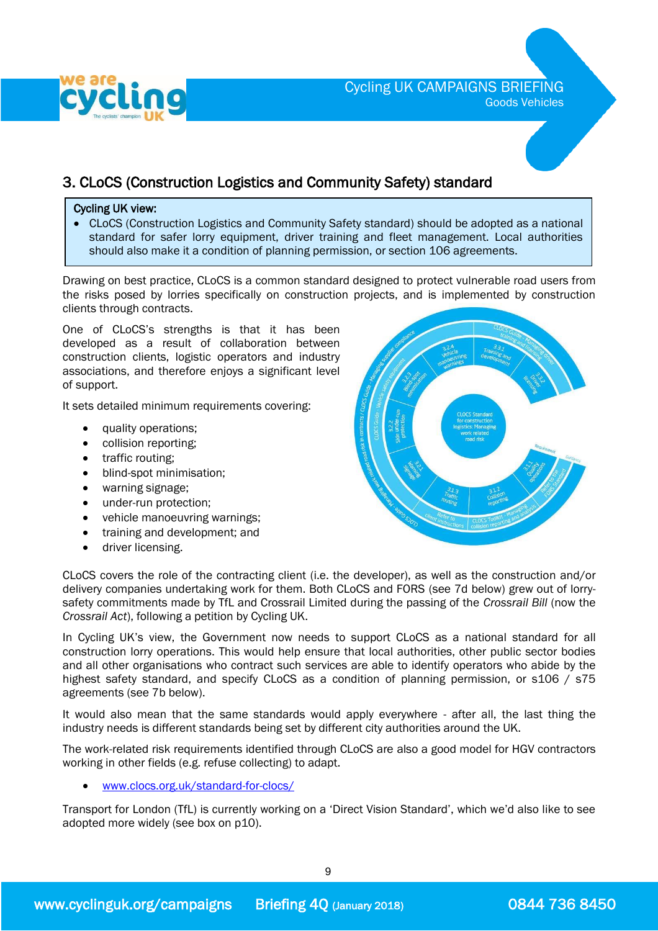

### Cycling UK CAMPAIGNS BRIEFING Goods Vehicles

# 3. CLoCS (Construction Logistics and Community Safety) standard

#### Cycling UK view:

 CLoCS (Construction Logistics and Community Safety standard) should be adopted as a national standard for safer lorry equipment, driver training and fleet management. Local authorities should also make it a condition of planning permission, or section 106 agreements.

Drawing on best practice, CLoCS is a common standard designed to protect vulnerable road users from the risks posed by lorries specifically on construction projects, and is implemented by construction clients through contracts.

One of CLoCS's strengths is that it has been developed as a result of collaboration between construction clients, logistic operators and industry associations, and therefore enjoys a significant level of support.

It sets detailed minimum requirements covering:

- quality operations;
- collision reporting:
- traffic routing;
- blind-spot minimisation;
- warning signage;
- under-run protection;
- vehicle manoeuvring warnings;
- training and development; and
- **•** driver licensing.



CLoCS covers the role of the contracting client (i.e. the developer), as well as the construction and/or delivery companies undertaking work for them. Both CLoCS and FORS (see 7d below) grew out of lorrysafety commitments made by TfL and Crossrail Limited during the passing of the *Crossrail Bill* (now the *Crossrail Act*), following a petition by Cycling UK.

In Cycling UK's view, the Government now needs to support CLoCS as a national standard for all construction lorry operations. This would help ensure that local authorities, other public sector bodies and all other organisations who contract such services are able to identify operators who abide by the highest safety standard, and specify CLoCS as a condition of planning permission, or s106 / s75 agreements (see 7b below).

It would also mean that the same standards would apply everywhere - after all, the last thing the industry needs is different standards being set by different city authorities around the UK.

The work-related risk requirements identified through CLoCS are also a good model for HGV contractors working in other fields (e.g. refuse collecting) to adapt.

[www.clocs.org.uk/standard-for-clocs/](http://www.clocs.org.uk/standard-for-clocs/)

Transport for London (TfL) is currently working on a 'Direct Vision Standard', which we'd also like to see adopted more widely (see box on p10).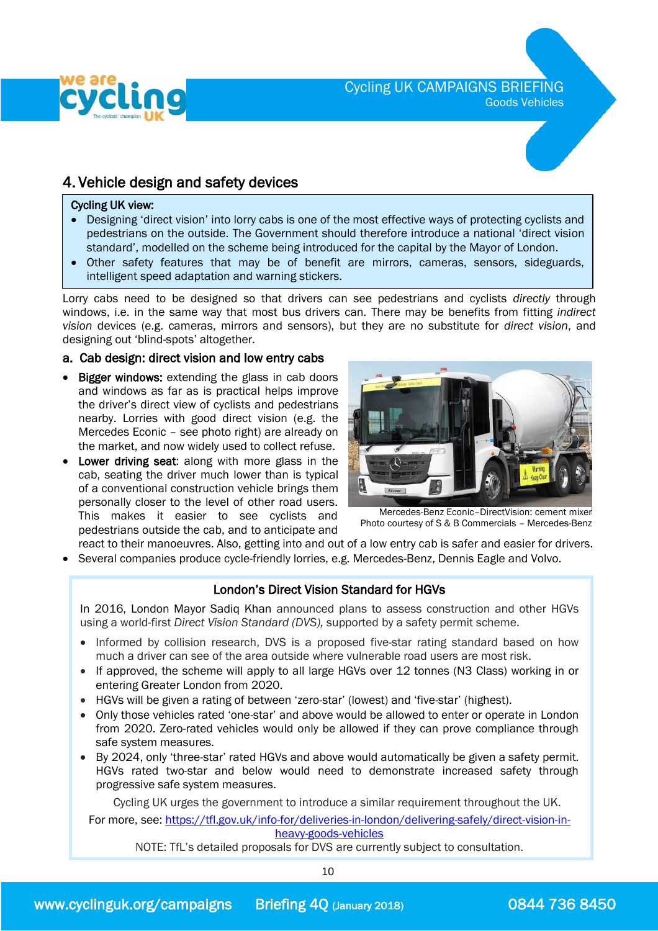

### 4. Vehicle design and safety devices

#### Cycling UK view:

- Designing 'direct vision' into lorry cabs is one of the most effective ways of protecting cyclists and pedestrians on the outside. The Government should therefore introduce a national 'direct vision standard', modelled on the scheme being introduced for the capital by the Mayor of London.
- Other safety features that may be of benefit are mirrors, cameras, sensors, sideguards, intelligent speed adaptation and warning stickers.

Lorry cabs need to be designed so that drivers can see pedestrians and cyclists *directly* through windows, i.e. in the same way that most bus drivers can. There may be benefits from fitting *indirect vision* devices (e.g. cameras, mirrors and sensors), but they are no substitute for *direct vision*, and designing out 'blind-spots' altogether.

### a. Cab design: direct vision and low entry cabs

- Bigger windows: extending the glass in cab doors and windows as far as is practical helps improve the driver's direct view of cyclists and pedestrians nearby. Lorries with good direct vision (e.g. the Mercedes Econic – see photo right) are already on the market, and now widely used to collect refuse.
- Lower driving seat: along with more glass in the cab, seating the driver much lower than is typical of a conventional construction vehicle brings them personally closer to the level of other road users. This makes it easier to see cyclists and pedestrians outside the cab, and to anticipate and



Mercedes-Benz Econic–DirectVision: cement mixer Photo courtesy of S & B Commercials – Mercedes-Benz

- react to their manoeuvres. Also, getting into and out of a low entry cab is safer and easier for drivers.
- Several companies produce cycle-friendly lorries, e.g. Mercedes-Benz, Dennis Eagle and Volvo.

### London's Direct Vision Standard for HGVs

 In 2016, London Mayor Sadiq Khan announced plans to assess construction and other HGVs l, using a world-first *Direct Vision Standard (DVS),* supported by a safety permit scheme.

- Informed by collision research, DVS is a proposed five-star rating standard based on how much a driver can see of the area outside where vulnerable road users are most risk.
- If approved, the scheme will apply to all large HGVs over 12 tonnes (N3 Class) working in or entering Greater London from 2020.
- HGVs will be given a rating of between 'zero-star' (lowest) and 'five-star' (highest).
- Only those vehicles rated 'one-star' and above would be allowed to enter or operate in London from 2020. Zero-rated vehicles would only be allowed if they can prove compliance through safe system measures.
- By 2024, only 'three-star' rated HGVs and above would automatically be given a safety permit. HGVs rated two-star and below would need to demonstrate increased safety through progressive safe system measures.

Cycling UK urges the government to introduce a similar requirement throughout the UK. For more, see: [https://tfl.gov.uk/info-for/deliveries-in-london/delivering-safely/direct-vision-in](https://tfl.gov.uk/info-for/deliveries-in-london/delivering-safely/direct-vision-in-heavy-goods-vehicles)[heavy-goods-vehicles](https://tfl.gov.uk/info-for/deliveries-in-london/delivering-safely/direct-vision-in-heavy-goods-vehicles)

NOTE: TfL's detailed proposals for DVS are currently subject to consultation.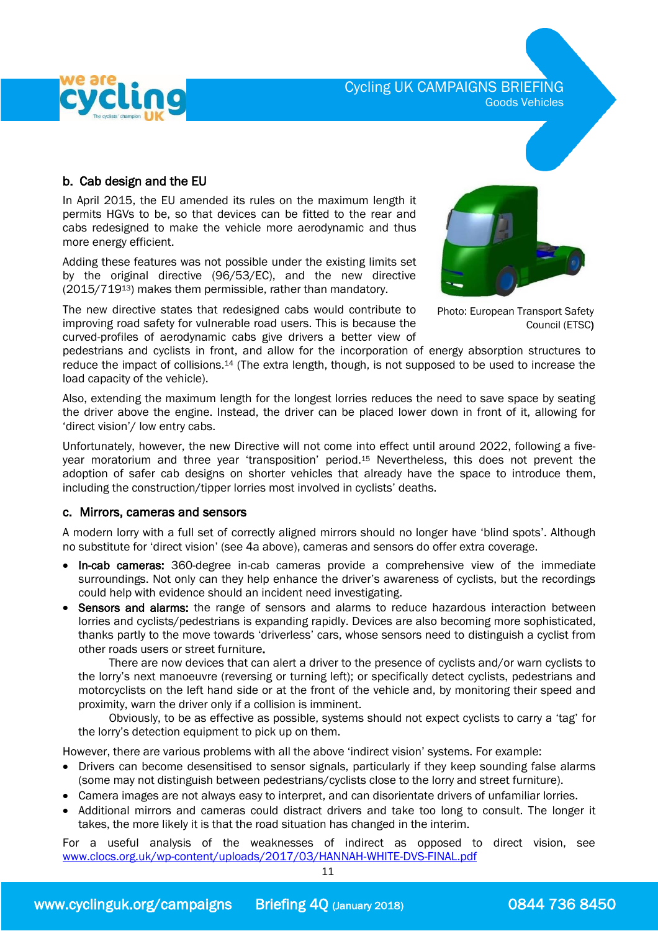

Cycling UK CAMPAIGNS BRIEFING Goods Vehicles

### b. Cab design and the EU

 In April 2015, the EU amended its rules on the maximum length it permits HGVs to be, so that devices can be fitted to the rear and cabs redesigned to make the vehicle more aerodynamic and thus more energy efficient.

Adding these features was not possible under the existing limits set by the original directive (96/53/EC), and the new directive (2015/71913) makes them permissible, rather than mandatory.

The new directive states that redesigned cabs would contribute to improving road safety for vulnerable road users. This is because the curved-profiles of aerodynamic cabs give drivers a better view of



Photo: European Transport Safety Council (ETSC)

pedestrians and cyclists in front, and allow for the incorporation of energy absorption structures to reduce the impact of collisions.<sup>14</sup> (The extra length, though, is not supposed to be used to increase the load capacity of the vehicle).

Also, extending the maximum length for the longest lorries reduces the need to save space by seating the driver above the engine. Instead, the driver can be placed lower down in front of it, allowing for 'direct vision'/ low entry cabs.

Unfortunately, however, the new Directive will not come into effect until around 2022, following a fiveyear moratorium and three year 'transposition' period. <sup>15</sup> Nevertheless, this does not prevent the adoption of safer cab designs on shorter vehicles that already have the space to introduce them, including the construction/tipper lorries most involved in cyclists' deaths.

### c. Mirrors, cameras and sensors

 A modern lorry with a full set of correctly aligned mirrors should no longer have 'blind spots'. Although no substitute for 'direct vision' (see 4a above), cameras and sensors do offer extra coverage.

- In-cab cameras: 360-degree in-cab cameras provide a comprehensive view of the immediate surroundings. Not only can they help enhance the driver's awareness of cyclists, but the recordings could help with evidence should an incident need investigating.
- Sensors and alarms: the range of sensors and alarms to reduce hazardous interaction between lorries and cyclists/pedestrians is expanding rapidly. Devices are also becoming more sophisticated, thanks partly to the move towards 'driverless' cars, whose sensors need to distinguish a cyclist from other roads users or street furniture.

 There are now devices that can alert a driver to the presence of cyclists and/or warn cyclists to the lorry's next manoeuvre (reversing or turning left); or specifically detect cyclists, pedestrians and motorcyclists on the left hand side or at the front of the vehicle and, by monitoring their speed and proximity, warn the driver only if a collision is imminent.

 Obviously, to be as effective as possible, systems should not expect cyclists to carry a 'tag' for the lorry's detection equipment to pick up on them.

However, there are various problems with all the above 'indirect vision' systems. For example:

- Drivers can become desensitised to sensor signals, particularly if they keep sounding false alarms (some may not distinguish between pedestrians/cyclists close to the lorry and street furniture).
- Camera images are not always easy to interpret, and can disorientate drivers of unfamiliar lorries.
- Additional mirrors and cameras could distract drivers and take too long to consult. The longer it takes, the more likely it is that the road situation has changed in the interim.

For a useful analysis of the weaknesses of indirect as opposed to direct vision, see [www.clocs.org.uk/wp-content/uploads/2017/03/HANNAH-WHITE-DVS-FINAL.pdf](http://www.clocs.org.uk/wp-content/uploads/2017/03/HANNAH-WHITE-DVS-FINAL.pdf)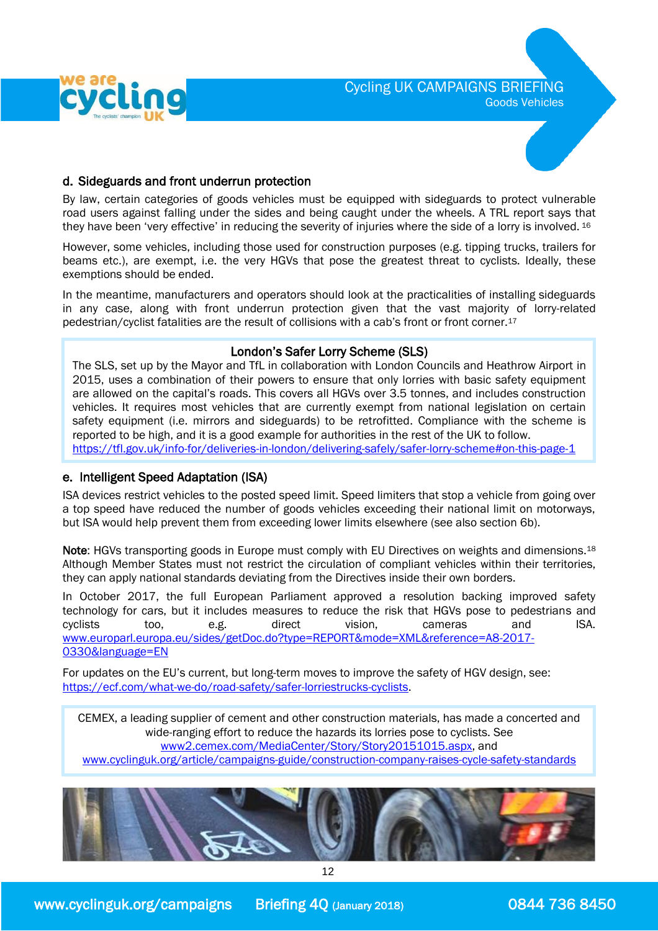

### Cycling UK CAMPAIGNS BRIEFING Goods Vehicles



### d. Sideguards and front underrun protection

 By law, certain categories of goods vehicles must be equipped with sideguards to protect vulnerable road users against falling under the sides and being caught under the wheels. A TRL report says that they have been 'very effective' in reducing the severity of injuries where the side of a lorry is involved. <sup>16</sup>

However, some vehicles, including those used for construction purposes (e.g. tipping trucks, trailers for beams etc.), are exempt, i.e. the very HGVs that pose the greatest threat to cyclists. Ideally, these exemptions should be ended.

In the meantime, manufacturers and operators should look at the practicalities of installing sideguards in any case, along with front underrun protection given that the vast majority of lorry-related pedestrian/cyclist fatalities are the result of collisions with a cab's front or front corner.<sup>17</sup>

### London's Safer Lorry Scheme (SLS)

The SLS, set up by the Mayor and TfL in collaboration with London Councils and Heathrow Airport in 2015, uses a combination of their powers to ensure that only lorries with basic safety equipment are allowed on the capital's roads. This covers all HGVs over 3.5 tonnes, and includes construction vehicles. It requires most vehicles that are currently exempt from national legislation on certain safety equipment (i.e. mirrors and sideguards) to be retrofitted. Compliance with the scheme is reported to be high, and it is a good example for authorities in the rest of the UK to follow. <https://tfl.gov.uk/info-for/deliveries-in-london/delivering-safely/safer-lorry-scheme#on-this-page-1>

### e. Intelligent Speed Adaptation (ISA)

 ISA devices restrict vehicles to the posted speed limit. Speed limiters that stop a vehicle from going over a top speed have reduced the number of goods vehicles exceeding their national limit on motorways, but ISA would help prevent them from exceeding lower limits elsewhere (see also section 6b).

Note: HGVs transporting goods in Europe must comply with EU Directives on weights and dimensions.<sup>18</sup> Although Member States must not restrict the circulation of compliant vehicles within their territories, they can apply national standards deviating from the Directives inside their own borders.

In October 2017, the full European Parliament approved a resolution backing improved safety technology for cars, but it includes measures to reduce the risk that HGVs pose to pedestrians and cyclists too, e.g. direct vision, cameras and ISA. [www.europarl.europa.eu/sides/getDoc.do?type=REPORT&mode=XML&reference=A8-2017-](http://www.europarl.europa.eu/sides/getDoc.do?type=REPORT&mode=XML&reference=A8-2017-0330&language=EN) [0330&language=EN](http://www.europarl.europa.eu/sides/getDoc.do?type=REPORT&mode=XML&reference=A8-2017-0330&language=EN)

For updates on the EU's current, but long-term moves to improve the safety of HGV design, see: [https://ecf.com/what-we-do/road-safety/safer-lorriestrucks-cyclists.](https://ecf.com/what-we-do/road-safety/safer-lorriestrucks-cyclists)

CEMEX, a leading supplier of cement and other construction materials, has made a concerted and wide-ranging effort to reduce the hazards its lorries pose to cyclists. See [www2.cemex.com/MediaCenter/Story/Story20151015.aspx,](http://www2.cemex.com/MediaCenter/Story/Story20151015.aspx) and [www.cyclinguk.org/article/campaigns-guide/construction-company-raises-cycle-safety-standards](http://www.cyclinguk.org/article/campaigns-guide/construction-company-raises-cycle-safety-standards)

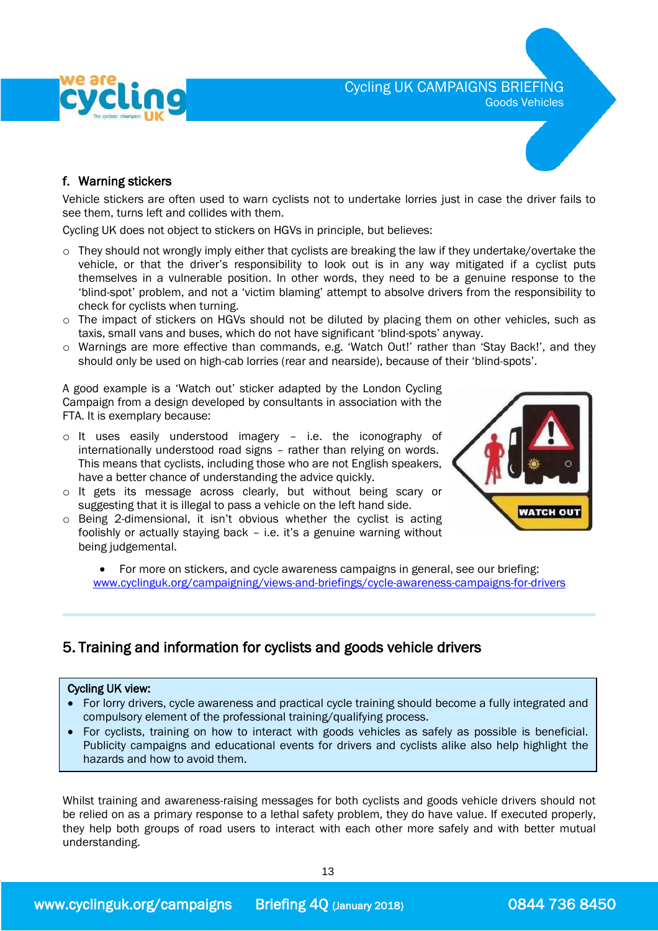



 Vehicle stickers are often used to warn cyclists not to undertake lorries just in case the driver fails to see them, turns left and collides with them.

Cycling UK does not object to stickers on HGVs in principle, but believes:

- $\circ$  They should not wrongly imply either that cyclists are breaking the law if they undertake/overtake the vehicle, or that the driver's responsibility to look out is in any way mitigated if a cyclist puts themselves in a vulnerable position. In other words, they need to be a genuine response to the 'blind-spot' problem, and not a 'victim blaming' attempt to absolve drivers from the responsibility to check for cyclists when turning.
- $\circ$  The impact of stickers on HGVs should not be diluted by placing them on other vehicles, such as taxis, small vans and buses, which do not have significant 'blind-spots' anyway.
- o Warnings are more effective than commands, e.g. 'Watch Out!' rather than 'Stay Back!', and they should only be used on high-cab lorries (rear and nearside), because of their 'blind-spots'.

A good example is a 'Watch out' sticker adapted by the London Cycling Campaign from a design developed by consultants in association with the FTA. It is exemplary because:

- o It uses easily understood imagery i.e. the iconography of internationally understood road signs – rather than relying on words. This means that cyclists, including those who are not English speakers, have a better chance of understanding the advice quickly.
- o It gets its message across clearly, but without being scary or suggesting that it is illegal to pass a vehicle on the left hand side.
- o Being 2-dimensional, it isn't obvious whether the cyclist is acting foolishly or actually staying back – i.e. it's a genuine warning without being judgemental.



 For more on stickers, and cycle awareness campaigns in general, see our briefing: [www.cyclinguk.org/campaigning/views-and-briefings/cycle-awareness-campaigns-for-drivers](http://www.ctc.org.uk/campaigning/views-and-briefings/cycle-awareness-campaigns-for-drivers)

### 5. Training and information for cyclists and goods vehicle drivers

### Cycling UK view:

ׇ֞֘֡

- For lorry drivers, cycle awareness and practical cycle training should become a fully integrated and compulsory element of the professional training/qualifying process.
- For cyclists, training on how to interact with goods vehicles as safely as possible is beneficial. Publicity campaigns and educational events for drivers and cyclists alike also help highlight the hazards and how to avoid them.

Whilst training and awareness-raising messages for both cyclists and goods vehicle drivers should not be relied on as a primary response to a lethal safety problem, they do have value. If executed properly, they help both groups of road users to interact with each other more safely and with better mutual understanding.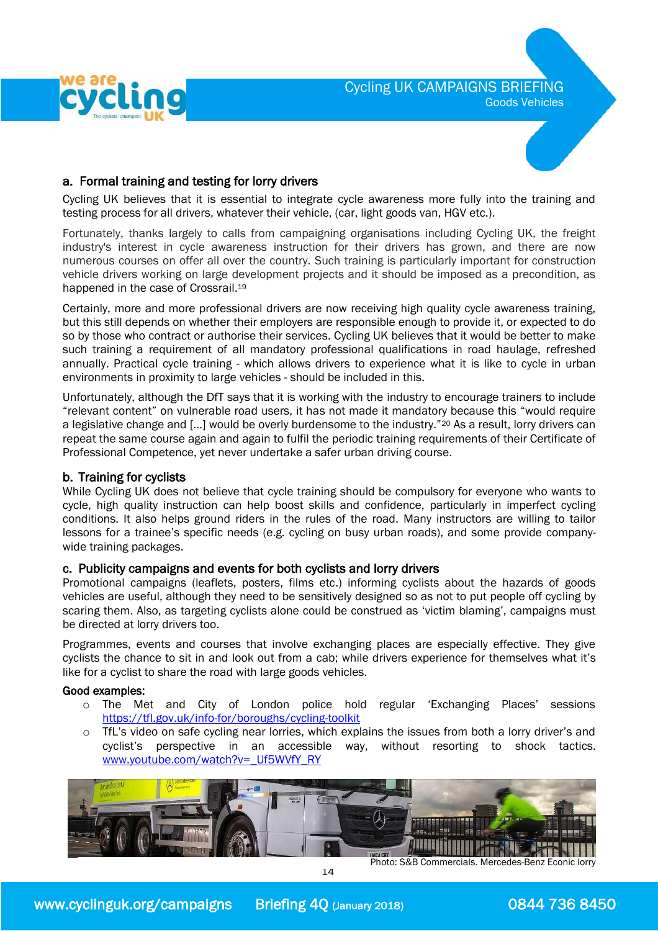

### a. Formal training and testing for lorry drivers

 Cycling UK believes that it is essential to integrate cycle awareness more fully into the training and testing process for all drivers, whatever their vehicle, (car, light goods van, HGV etc.).

Fortunately, thanks largely to calls from campaigning organisations including Cycling UK, the freight industry's interest in cycle awareness instruction for their drivers has grown, and there are now numerous courses on offer all over the country. Such training is particularly important for construction vehicle drivers working on large development projects and it should be imposed as a precondition, as happened in the case of Crossrail.<sup>19</sup>

Certainly, more and more professional drivers are now receiving high quality cycle awareness training, but this still depends on whether their employers are responsible enough to provide it, or expected to do so by those who contract or authorise their services. Cycling UK believes that it would be better to make such training a requirement of all mandatory professional qualifications in road haulage, refreshed annually. Practical cycle training - which allows drivers to experience what it is like to cycle in urban environments in proximity to large vehicles - should be included in this.

Unfortunately, although the DfT says that it is working with the industry to encourage trainers to include "relevant content" on vulnerable road users, it has not made it mandatory because this "would require a legislative change and […] would be overly burdensome to the industry."<sup>20</sup> As a result, lorry drivers can repeat the same course again and again to fulfil the periodic training requirements of their Certificate of Professional Competence, yet never undertake a safer urban driving course.

### b. Training for cyclists

While Cycling UK does not believe that cycle training should be compulsory for everyone who wants to cycle, high quality instruction can help boost skills and confidence, particularly in imperfect cycling conditions. It also helps ground riders in the rules of the road. Many instructors are willing to tailor lessons for a trainee's specific needs (e.g. cycling on busy urban roads), and some provide companywide training packages.

### c. Publicity campaigns and events for both cyclists and lorry drivers

Promotional campaigns (leaflets, posters, films etc.) informing cyclists about the hazards of goods vehicles are useful, although they need to be sensitively designed so as not to put people off cycling by scaring them. Also, as targeting cyclists alone could be construed as 'victim blaming', campaigns must be directed at lorry drivers too.

Programmes, events and courses that involve exchanging places are especially effective. They give cyclists the chance to sit in and look out from a cab; while drivers experience for themselves what it's like for a cyclist to share the road with large goods vehicles.

### Good examples:

- o The Met and City of London police hold regular 'Exchanging Places' sessions <https://tfl.gov.uk/info-for/boroughs/cycling-toolkit>
- $\circ$  TfL's video on safe cycling near lorries, which explains the issues from both a lorry driver's and cyclist's perspective in an accessible way, without resorting to shock tactics. [www.youtube.com/watch?v=\\_Uf5WVfY\\_RY](http://www.youtube.com/watch?v=_Uf5WVfY_RY)



Photo: S&B Commercials. Mercedes-Benz Econic lorry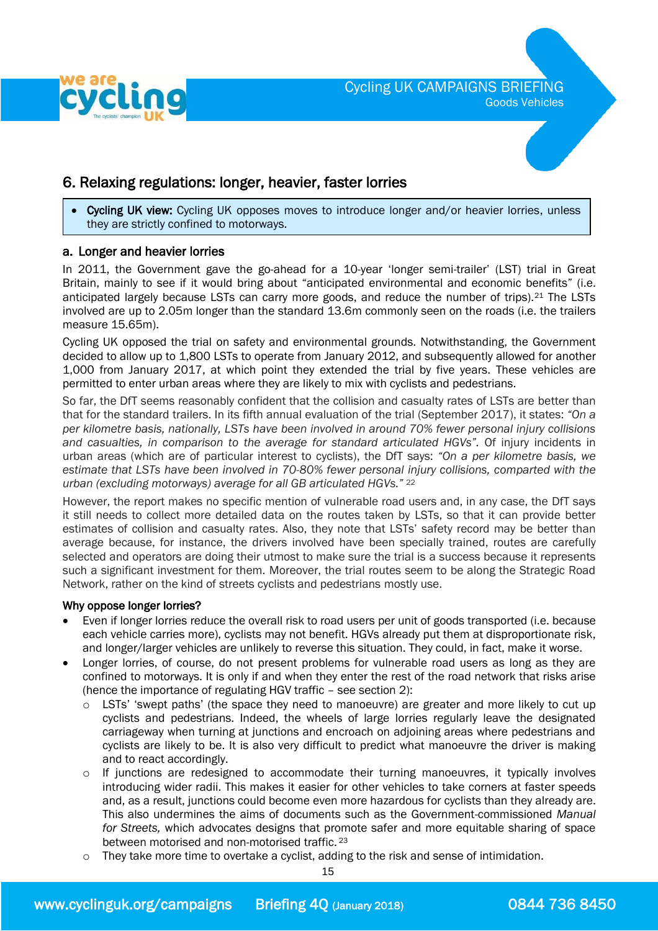

### 6. Relaxing regulations: longer, heavier, faster lorries

j • Cycling UK view: Cycling UK opposes moves to introduce longer and/or heavier lorries, unless they are strictly confined to motorways.

### a. Longer and heavier lorries

In 2011, the Government gave the go-ahead for a 10-year 'longer semi-trailer' (LST) trial in Great Britain, mainly to see if it would bring about "anticipated environmental and economic benefits" (i.e. anticipated largely because LSTs can carry more goods, and reduce the number of trips).<sup>21</sup> The LSTs involved are up to 2.05m longer than the standard 13.6m commonly seen on the roads (i.e. the trailers measure 15.65m).

Cycling UK opposed the trial on safety and environmental grounds. Notwithstanding, the Government decided to allow up to 1,800 LSTs to operate from January 2012, and subsequently allowed for another 1,000 from January 2017, at which point they extended the trial by five years. These vehicles are permitted to enter urban areas where they are likely to mix with cyclists and pedestrians.

So far, the DfT seems reasonably confident that the collision and casualty rates of LSTs are better than that for the standard trailers. In its fifth annual evaluation of the trial (September 2017), it states: *"On a per kilometre basis, nationally, LSTs have been involved in around 70% fewer personal injury collisions and casualties, in comparison to the average for standard articulated HGVs".* Of injury incidents in urban areas (which are of particular interest to cyclists), the DfT says: *"On a per kilometre basis, we estimate that LSTs have been involved in 70-80% fewer personal injury collisions, comparted with the urban (excluding motorways) average for all GB articulated HGVs."* <sup>22</sup>

However, the report makes no specific mention of vulnerable road users and, in any case, the DfT says it still needs to collect more detailed data on the routes taken by LSTs, so that it can provide better estimates of collision and casualty rates. Also, they note that LSTs' safety record may be better than average because, for instance, the drivers involved have been specially trained, routes are carefully selected and operators are doing their utmost to make sure the trial is a success because it represents such a significant investment for them. Moreover, the trial routes seem to be along the Strategic Road Network, rather on the kind of streets cyclists and pedestrians mostly use.

### Why oppose longer lorries?

- Even if longer lorries reduce the overall risk to road users per unit of goods transported (i.e. because each vehicle carries more), cyclists may not benefit. HGVs already put them at disproportionate risk, and longer/larger vehicles are unlikely to reverse this situation. They could, in fact, make it worse.
- Longer lorries, of course, do not present problems for vulnerable road users as long as they are confined to motorways. It is only if and when they enter the rest of the road network that risks arise (hence the importance of regulating HGV traffic – see section 2):
	- $\circ$  LSTs' 'swept paths' (the space they need to manoeuvre) are greater and more likely to cut up cyclists and pedestrians. Indeed, the wheels of large lorries regularly leave the designated carriageway when turning at junctions and encroach on adjoining areas where pedestrians and cyclists are likely to be. It is also very difficult to predict what manoeuvre the driver is making and to react accordingly.
	- $\circ$  If junctions are redesigned to accommodate their turning manoeuvres, it typically involves introducing wider radii. This makes it easier for other vehicles to take corners at faster speeds and, as a result, junctions could become even more hazardous for cyclists than they already are. This also undermines the aims of documents such as the Government-commissioned *Manual for Streets,* which advocates designs that promote safer and more equitable sharing of space between motorised and non-motorised traffic. <sup>23</sup>
	- They take more time to overtake a cyclist, adding to the risk and sense of intimidation.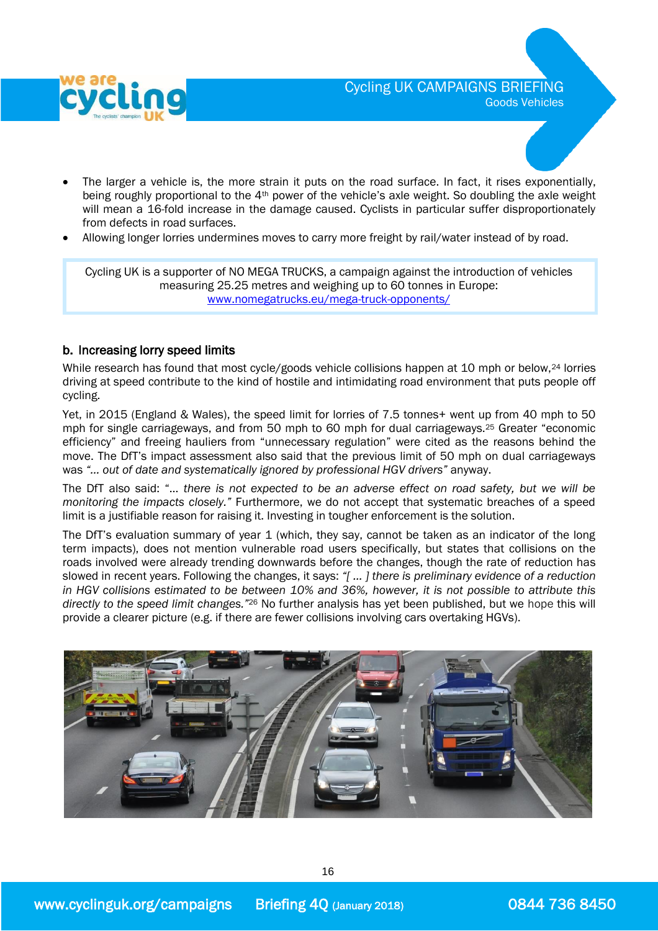

- The larger a vehicle is, the more strain it puts on the road surface. In fact, it rises exponentially, being roughly proportional to the 4th power of the vehicle's axle weight. So doubling the axle weight will mean a 16-fold increase in the damage caused. Cyclists in particular suffer disproportionately from defects in road surfaces.
- Allowing longer lorries undermines moves to carry more freight by rail/water instead of by road.

Cycling UK is a supporter of NO MEGA TRUCKS, a campaign against the introduction of vehicles measuring 25.25 metres and weighing up to 60 tonnes in Europe: [www.nomegatrucks.eu/mega-truck-opponents/](http://www.nomegatrucks.eu/mega-truck-opponents/)

### b. Increasing lorry speed limits

While research has found that most cycle/goods vehicle collisions happen at 10 mph or below,<sup>24</sup> lorries driving at speed contribute to the kind of hostile and intimidating road environment that puts people off cycling.

Yet, in 2015 (England & Wales), the speed limit for lorries of 7.5 tonnes+ went up from 40 mph to 50 mph for single carriageways, and from 50 mph to 60 mph for dual carriageways.<sup>25</sup> Greater "economic efficiency" and freeing hauliers from "unnecessary regulation" were cited as the reasons behind the move. The DfT's impact assessment also said that the previous limit of 50 mph on dual carriageways was *"… out of date and systematically ignored by professional HGV drivers"* anyway.

The DfT also said: "… *there is not expected to be an adverse effect on road safety, but we will be monitoring the impacts closely."* Furthermore, we do not accept that systematic breaches of a speed limit is a justifiable reason for raising it. Investing in tougher enforcement is the solution.

The DfT's evaluation summary of year 1 (which, they say, cannot be taken as an indicator of the long term impacts), does not mention vulnerable road users specifically, but states that collisions on the roads involved were already trending downwards before the changes, though the rate of reduction has slowed in recent years. Following the changes, it says: *"[ … ] there is preliminary evidence of a reduction in HGV collisions estimated to be between 10% and 36%, however, it is not possible to attribute this directly to the speed limit changes."*<sup>26</sup> No further analysis has yet been published, but we hope this will provide a clearer picture (e.g. if there are fewer collisions involving cars overtaking HGVs).

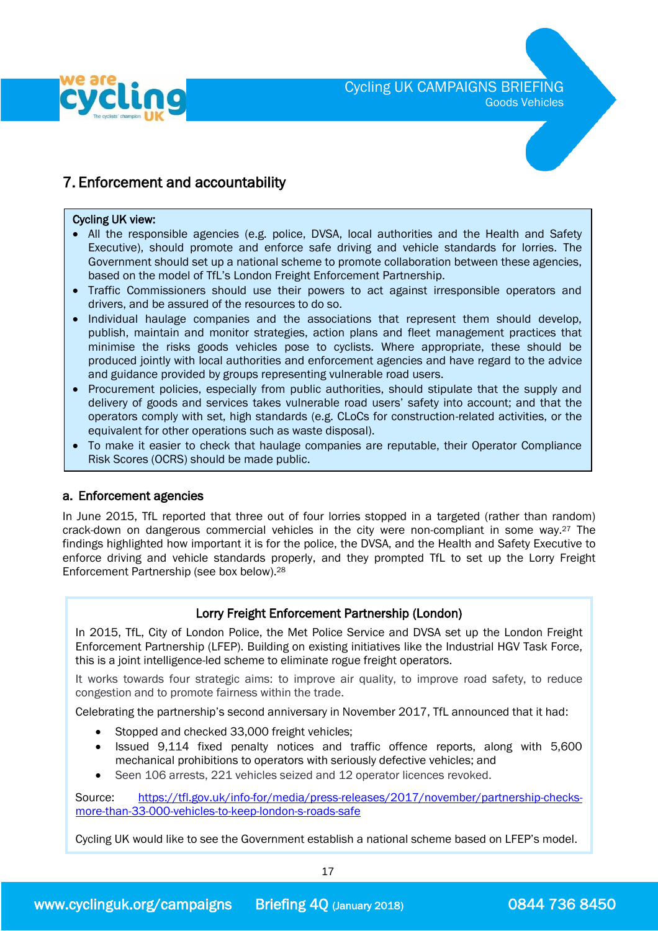

# 7. Enforcement and accountability

#### Cycling UK view:

- All the responsible agencies (e.g. police, DVSA, local authorities and the Health and Safety Executive), should promote and enforce safe driving and vehicle standards for lorries. The Government should set up a national scheme to promote collaboration between these agencies, based on the model of TfL's London Freight Enforcement Partnership.
- Traffic Commissioners should use their powers to act against irresponsible operators and drivers, and be assured of the resources to do so.
- Individual haulage companies and the associations that represent them should develop, publish, maintain and monitor strategies, action plans and fleet management practices that minimise the risks goods vehicles pose to cyclists. Where appropriate, these should be produced jointly with local authorities and enforcement agencies and have regard to the advice and guidance provided by groups representing vulnerable road users.
- Procurement policies, especially from public authorities, should stipulate that the supply and delivery of goods and services takes vulnerable road users' safety into account; and that the operators comply with set, high standards (e.g. CLoCs for construction-related activities, or the equivalent for other operations such as waste disposal).
- To make it easier to check that haulage companies are reputable, their Operator Compliance Risk Scores (OCRS) should be made public.

### a. Enforcement agencies

In June 2015, TfL reported that three out of four lorries stopped in a targeted (rather than random) crack-down on dangerous commercial vehicles in the city were non-compliant in some way. <sup>27</sup> The findings highlighted how important it is for the police, the DVSA, and the Health and Safety Executive to enforce driving and vehicle standards properly, and they prompted TfL to set up the Lorry Freight Enforcement Partnership (see box below). 28

### Lorry Freight Enforcement Partnership (London)

In 2015, TfL, City of London Police, the Met Police Service and DVSA set up the London Freight Enforcement Partnership (LFEP). Building on existing initiatives like the Industrial HGV Task Force, this is a joint intelligence-led scheme to eliminate rogue freight operators.

It works towards four strategic aims: to improve air quality, to improve road safety, to reduce congestion and to promote fairness within the trade.

Celebrating the partnership's second anniversary in November 2017, TfL announced that it had:

- Stopped and checked 33,000 freight vehicles;
- Issued 9,114 fixed penalty notices and traffic offence reports, along with 5,600 mechanical prohibitions to operators with seriously defective vehicles; and
- Seen 106 arrests, 221 vehicles seized and 12 operator licences revoked.

Source: [https://tfl.gov.uk/info-for/media/press-releases/2017/november/partnership-checks](https://tfl.gov.uk/info-for/media/press-releases/2017/november/partnership-checks-more-than-33-000-vehicles-to-keep-london-s-roads-safe)[more-than-33-000-vehicles-to-keep-london-s-roads-safe](https://tfl.gov.uk/info-for/media/press-releases/2017/november/partnership-checks-more-than-33-000-vehicles-to-keep-london-s-roads-safe)

Cycling UK would like to see the Government establish a national scheme based on LFEP's model.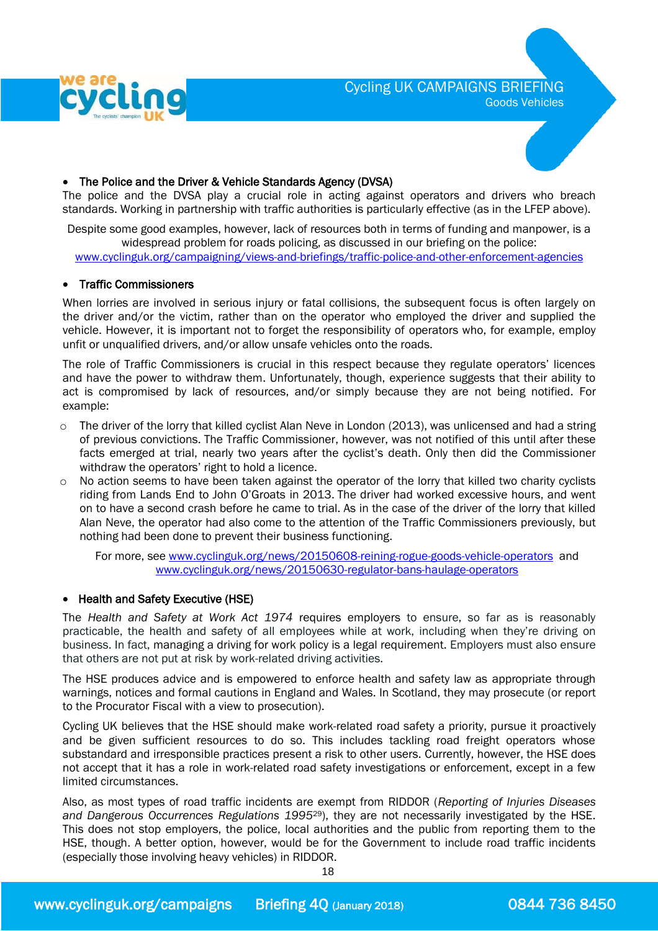



#### The Police and the Driver & Vehicle Standards Agency (DVSA)

The police and the DVSA play a crucial role in acting against operators and drivers who breach standards. Working in partnership with traffic authorities is particularly effective (as in the LFEP above).

Despite some good examples, however, lack of resources both in terms of funding and manpower, is a widespread problem for roads policing, as discussed in our briefing on the police: [www.cyclinguk.org/campaigning/views-and-briefings/traffic-police-and-other-enforcement-agencies](http://www.cyclinguk.org/campaigning/views-and-briefings/traffic-police-and-other-enforcement-agencies)

### • Traffic Commissioners

 When lorries are involved in serious injury or fatal collisions, the subsequent focus is often largely on the driver and/or the victim, rather than on the operator who employed the driver and supplied the vehicle. However, it is important not to forget the responsibility of operators who, for example, employ unfit or unqualified drivers, and/or allow unsafe vehicles onto the roads.

The role of Traffic Commissioners is crucial in this respect because they regulate operators' licences and have the power to withdraw them. Unfortunately, though, experience suggests that their ability to act is compromised by lack of resources, and/or simply because they are not being notified. For example:

- $\circ$  The driver of the lorry that killed cyclist Alan Neve in London (2013), was unlicensed and had a string of previous convictions. The Traffic Commissioner, however, was not notified of this until after these facts emerged at trial, nearly two years after the cyclist's death. Only then did the Commissioner withdraw the operators' right to hold a licence.
- $\circ$  No action seems to have been taken against the operator of the lorry that killed two charity cyclists riding from Lands End to John O'Groats in 2013. The driver had worked excessive hours, and went on to have a second crash before he came to trial. As in the case of the driver of the lorry that killed Alan Neve, the operator had also come to the attention of the Traffic Commissioners previously, but nothing had been done to prevent their business functioning.

For more, see [www.cyclinguk.org/news/20150608-reining-rogue-goods-vehicle-operators](http://www.cyclinguk.org/news/20150608-reining-rogue-goods-vehicle-operators) and [www.cyclinguk.org/news/20150630-regulator-bans-haulage-operators](http://www.cyclinguk.org/news/20150630-regulator-bans-haulage-operators)

### • Health and Safety Executive (HSE)

The *Health and Safety at Work Act 1974* requires employers to ensure, so far as is reasonably practicable, the health and safety of all employees while at work, including when they're driving on business. In fact, managing a driving for work policy is a legal requirement. Employers must also ensure that others are not put at risk by work-related driving activities.

The HSE produces advice and is empowered to enforce health and safety law as appropriate through warnings, notices and formal cautions in England and Wales. In Scotland, they may prosecute (or report to the Procurator Fiscal with a view to prosecution). Ì

Cycling UK believes that the HSE should make work-related road safety a priority, pursue it proactively and be given sufficient resources to do so. This includes tackling road freight operators whose substandard and irresponsible practices present a risk to other users. Currently, however, the HSE does not accept that it has a role in work-related road safety investigations or enforcement, except in a few limited circumstances.

Also, as most types of road traffic incidents are exempt from RIDDOR (*Reporting of Injuries Diseases and Dangerous Occurrences Regulations 1995*29), they are not necessarily investigated by the HSE. This does not stop employers, the police, local authorities and the public from reporting them to the HSE, though. A better option, however, would be for the Government to include road traffic incidents (especially those involving heavy vehicles) in RIDDOR.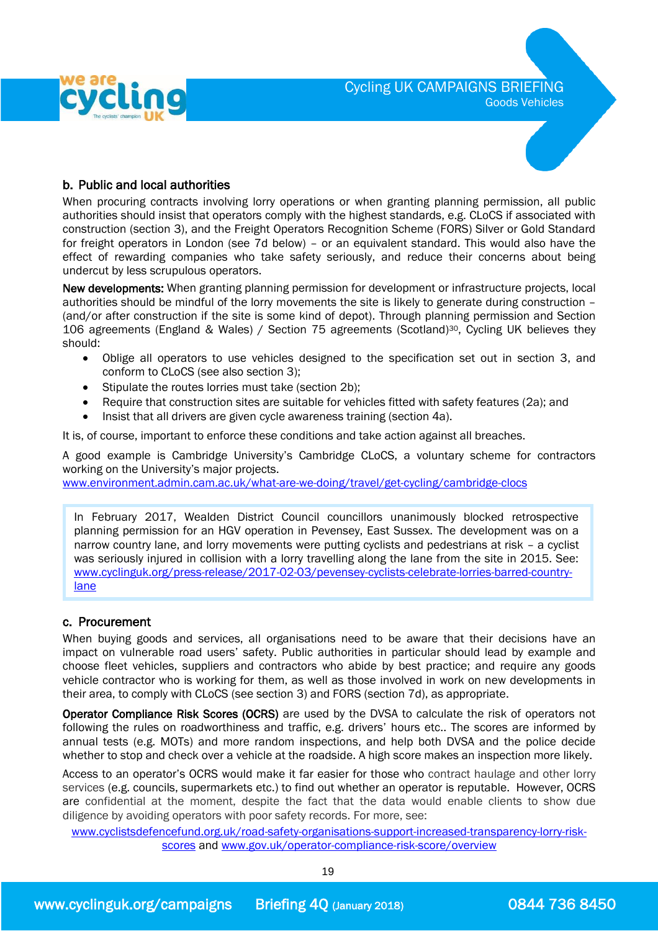



### b. Public and local authorities

When procuring contracts involving lorry operations or when granting planning permission, all public authorities should insist that operators comply with the highest standards, e.g. CLoCS if associated with construction (section 3), and the Freight Operators Recognition Scheme (FORS) Silver or Gold Standard for freight operators in London (see 7d below) – or an equivalent standard. This would also have the effect of rewarding companies who take safety seriously, and reduce their concerns about being undercut by less scrupulous operators.

New developments: When granting planning permission for development or infrastructure projects, local authorities should be mindful of the lorry movements the site is likely to generate during construction – (and/or after construction if the site is some kind of depot). Through planning permission and Section 106 agreements (England & Wales) / Section 75 agreements (Scotland)30, Cycling UK believes they should:

- Oblige all operators to use vehicles designed to the specification set out in section 3, and conform to CLoCS (see also section 3);
- Stipulate the routes lorries must take (section 2b);
- Require that construction sites are suitable for vehicles fitted with safety features (2a); and
- Insist that all drivers are given cycle awareness training (section 4a).

It is, of course, important to enforce these conditions and take action against all breaches.

A good example is Cambridge University's Cambridge CLoCS, a voluntary scheme for contractors working on the University's major projects.

[www.environment.admin.cam.ac.uk/what-are-we-doing/travel/get-cycling/cambridge-clocs](http://www.environment.admin.cam.ac.uk/what-are-we-doing/travel/get-cycling/cambridge-clocs)

In February 2017, Wealden District Council councillors unanimously blocked retrospective planning permission for an HGV operation in Pevensey, East Sussex. The development was on a narrow country lane, and lorry movements were putting cyclists and pedestrians at risk – a cyclist was seriously injured in collision with a lorry travelling along the lane from the site in 2015. See: [www.cyclinguk.org/press-release/2017-02-03/pevensey-cyclists-celebrate-lorries-barred-country](http://www.cyclinguk.org/press-release/2017-02-03/pevensey-cyclists-celebrate-lorries-barred-country-lane)[lane](http://www.cyclinguk.org/press-release/2017-02-03/pevensey-cyclists-celebrate-lorries-barred-country-lane)

### c. Procurement

When buying goods and services, all organisations need to be aware that their decisions have an impact on vulnerable road users' safety. Public authorities in particular should lead by example and choose fleet vehicles, suppliers and contractors who abide by best practice; and require any goods vehicle contractor who is working for them, as well as those involved in work on new developments in their area, to comply with CLoCS (see section 3) and FORS (section 7d), as appropriate.

Operator Compliance Risk Scores (OCRS) are used by the DVSA to calculate the risk of operators not following the rules on roadworthiness and traffic, e.g. drivers' hours etc.. The scores are informed by annual tests (e.g. MOTs) and more random inspections, and help both DVSA and the police decide whether to stop and check over a vehicle at the roadside. A high score makes an inspection more likely.

Access to an operator's OCRS would make it far easier for those who contract haulage and other lorry services (e.g. councils, supermarkets etc.) to find out whether an operator is reputable. However, OCRS are confidential at the moment, despite the fact that the data would enable clients to show due diligence by avoiding operators with poor safety records. For more, see:

[www.cyclistsdefencefund.org.uk/road-safety-organisations-support-increased-transparency-lorry-risk](http://www.cyclistsdefencefund.org.uk/road-safety-organisations-support-increased-transparency-lorry-risk-scores)[scores](http://www.cyclistsdefencefund.org.uk/road-safety-organisations-support-increased-transparency-lorry-risk-scores) and [www.gov.uk/operator-compliance-risk-score/overview](http://www.gov.uk/operator-compliance-risk-score/overview)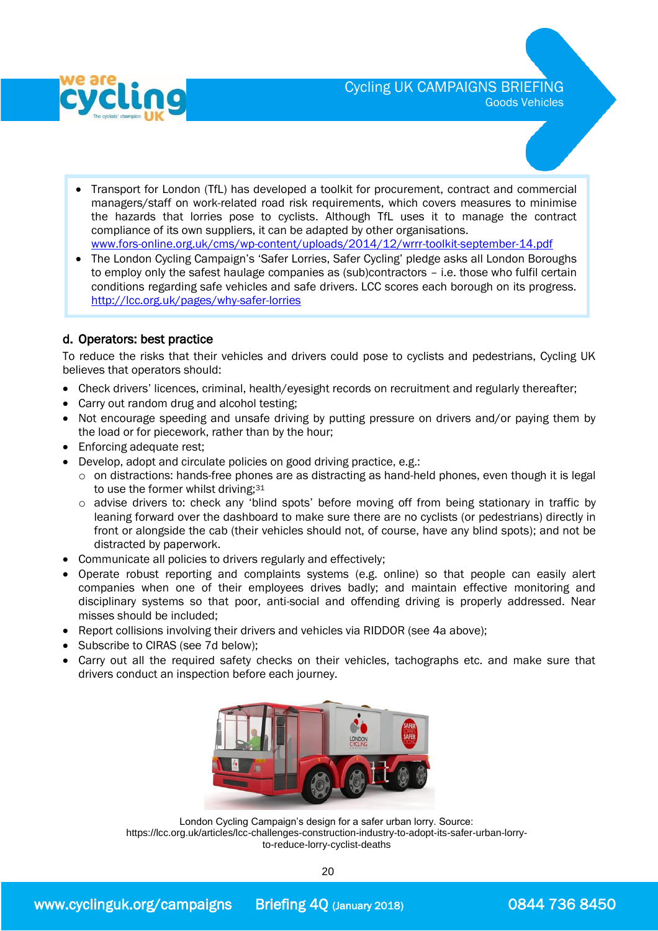

- Transport for London (TfL) has developed a toolkit for procurement, contract and commercial managers/staff on work-related road risk requirements, which covers measures to minimise the hazards that lorries pose to cyclists. Although TfL uses it to manage the contract compliance of its own suppliers, it can be adapted by other organisations. [www.fors-online.org.uk/cms/wp-content/uploads/2014/12/wrrr-toolkit-september-14.pdf](http://www.fors-online.org.uk/cms/wp-content/uploads/2014/12/wrrr-toolkit-september-14.pdf)
- The London Cycling Campaign's 'Safer Lorries, Safer Cycling' pledge asks all London Boroughs to employ only the safest haulage companies as (sub)contractors – i.e. those who fulfil certain conditions regarding safe vehicles and safe drivers. LCC scores each borough on its progress. <http://lcc.org.uk/pages/why-safer-lorries>

### d. Operators: best practice

 To reduce the risks that their vehicles and drivers could pose to cyclists and pedestrians, Cycling UK believes that operators should:

- Check drivers' licences, criminal, health/eyesight records on recruitment and regularly thereafter;
- Carry out random drug and alcohol testing;
- Not encourage speeding and unsafe driving by putting pressure on drivers and/or paying them by the load or for piecework, rather than by the hour;
- Enforcing adequate rest;
- Develop, adopt and circulate policies on good driving practice, e.g.:
	- $\circ$  on distractions: hands-free phones are as distracting as hand-held phones, even though it is legal to use the former whilst driving;<sup>31</sup>
	- o advise drivers to: check any 'blind spots' before moving off from being stationary in traffic by leaning forward over the dashboard to make sure there are no cyclists (or pedestrians) directly in front or alongside the cab (their vehicles should not, of course, have any blind spots); and not be distracted by paperwork.
- Communicate all policies to drivers regularly and effectively;
- Operate robust reporting and complaints systems (e.g. online) so that people can easily alert companies when one of their employees drives badly; and maintain effective monitoring and disciplinary systems so that poor, anti-social and offending driving is properly addressed. Near misses should be included;
- Report collisions involving their drivers and vehicles via RIDDOR (see 4a above);
- Subscribe to CIRAS (see 7d below):
- Carry out all the required safety checks on their vehicles, tachographs etc. and make sure that drivers conduct an inspection before each journey.



London Cycling Campaign's design for a safer urban lorry. Source: https://lcc.org.uk/articles/lcc-challenges-construction-industry-to-adopt-its-safer-urban-lorryto-reduce-lorry-cyclist-deaths

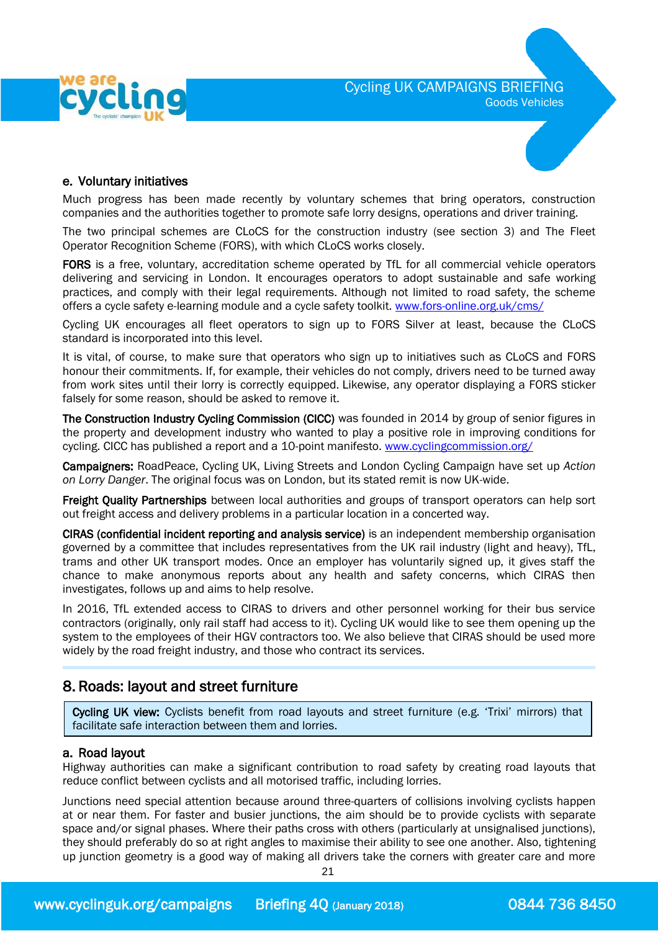



### e. Voluntary initiatives

Much progress has been made recently by voluntary schemes that bring operators, construction companies and the authorities together to promote safe lorry designs, operations and driver training.

The two principal schemes are CLoCS for the construction industry (see section 3) and The Fleet Operator Recognition Scheme (FORS), with which CLoCS works closely.

FORS is a free, voluntary, accreditation scheme operated by TfL for all commercial vehicle operators delivering and servicing in London. It encourages operators to adopt sustainable and safe working practices, and comply with their legal requirements. Although not limited to road safety, the scheme offers a cycle safety e-learning module and a cycle safety toolkit. [www.fors-online.org.uk/cms/](http://www.fors-online.org.uk/cms/)

Cycling UK encourages all fleet operators to sign up to FORS Silver at least, because the CLoCS standard is incorporated into this level.

It is vital, of course, to make sure that operators who sign up to initiatives such as CLoCS and FORS honour their commitments. If, for example, their vehicles do not comply, drivers need to be turned away from work sites until their lorry is correctly equipped. Likewise, any operator displaying a FORS sticker falsely for some reason, should be asked to remove it.

The Construction Industry Cycling Commission (CICC) was founded in 2014 by group of senior figures in the property and development industry who wanted to play a positive role in improving conditions for cycling. CICC has published a report and a 10-point manifesto. [www.cyclingcommission.org/](http://www.cyclingcommission.org/)

 Campaigners: RoadPeace, Cycling UK, Living Streets and London Cycling Campaign have set up *Action on Lorry Danger*. The original focus was on London, but its stated remit is now UK-wide.

Freight Quality Partnerships between local authorities and groups of transport operators can help sort out freight access and delivery problems in a particular location in a concerted way.

CIRAS (confidential incident reporting and analysis service) is an independent membership organisation governed by a committee that includes representatives from the UK rail industry (light and heavy), TfL, trams and other UK transport modes. Once an employer has voluntarily signed up, it gives staff the chance to make anonymous reports about any health and safety concerns, which CIRAS then investigates, follows up and aims to help resolve.

In 2016, TfL extended access to CIRAS to drivers and other personnel working for their bus service contractors (originally, only rail staff had access to it). Cycling UK would like to see them opening up the system to the employees of their HGV contractors too. We also believe that CIRAS should be used more widely by the road freight industry, and those who contract its services.

### 8. Roads: layout and street furniture

j Cycling UK view: Cyclists benefit from road layouts and street furniture (e.g. 'Trixi' mirrors) that facilitate safe interaction between them and lorries.

### a. Road layout

I

Highway authorities can make a significant contribution to road safety by creating road layouts that reduce conflict between cyclists and all motorised traffic, including lorries.

Junctions need special attention because around three-quarters of collisions involving cyclists happen at or near them. For faster and busier junctions, the aim should be to provide cyclists with separate space and/or signal phases. Where their paths cross with others (particularly at unsignalised junctions), they should preferably do so at right angles to maximise their ability to see one another. Also, tightening up junction geometry is a good way of making all drivers take the corners with greater care and more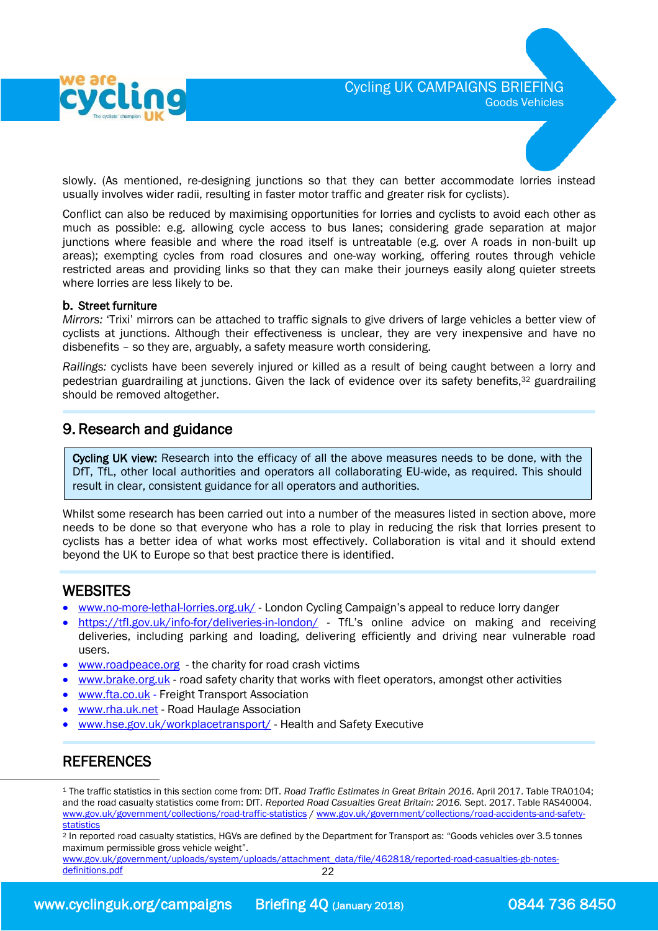

slowly. (As mentioned, re-designing junctions so that they can better accommodate lorries instead usually involves wider radii, resulting in faster motor traffic and greater risk for cyclists).

Conflict can also be reduced by maximising opportunities for lorries and cyclists to avoid each other as much as possible: e.g. allowing cycle access to bus lanes; considering grade separation at major junctions where feasible and where the road itself is untreatable (e.g. over A roads in non-built up areas); exempting cycles from road closures and one-way working, offering routes through vehicle restricted areas and providing links so that they can make their journeys easily along quieter streets where lorries are less likely to be.

#### b. Street furniture

*Mirrors:* 'Trixi' mirrors can be attached to traffic signals to give drivers of large vehicles a better view of cyclists at junctions. Although their effectiveness is unclear, they are very inexpensive and have no disbenefits – so they are, arguably, a safety measure worth considering.

*Railings:* cyclists have been severely injured or killed as a result of being caught between a lorry and pedestrian guardrailing at junctions. Given the lack of evidence over its safety benefits,<sup>32</sup> guardrailing should be removed altogether.

### 9. Research and guidance

Cycling UK view: Research into the efficacy of all the above measures needs to be done, with the DfT, TfL, other local authorities and operators all collaborating EU-wide, as required. This should result in clear, consistent guidance for all operators and authorities.

Whilst some research has been carried out into a number of the measures listed in section above, more needs to be done so that everyone who has a role to play in reducing the risk that lorries present to cyclists has a better idea of what works most effectively. Collaboration is vital and it should extend beyond the UK to Europe so that best practice there is identified.

### **WEBSITES**

- [www.no-more-lethal-lorries.org.uk/](http://www.no-more-lethal-lorries.org.uk/) London Cycling Campaign's appeal to reduce lorry danger
- <https://tfl.gov.uk/info-for/deliveries-in-london/> TfL's online advice on making and receiving deliveries, including parking and loading, delivering efficiently and driving near vulnerable road users.
- [www.roadpeace.org](http://www.roadpeace.org/) the charity for road crash victims
- [www.brake.org.uk](http://www.brake.org.uk/) road safety charity that works with fleet operators, amongst other activities
- [www.fta.co.uk](http://www.fta.co.uk/) Freight Transport Association
- [www.rha.uk.net](http://www.rha.uk.net/) Road Haulage Association
- [www.hse.gov.uk/workplacetransport/](http://www.hse.gov.uk/workplacetransport/) Health and Safety Executive

# **REFERENCES**

 $\overline{a}$ 

<sup>1</sup> The traffic statistics in this section come from: DfT. *Road Traffic Estimates in Great Britain 2016*. April 2017. Table TRA0104; and the road casualty statistics come from: DfT. *Reported Road Casualties Great Britain: 2016.* Sept. 2017. Table RAS40004. [www.gov.uk/government/collections/road-traffic-statistics](http://www.gov.uk/government/collections/road-traffic-statistics) / [www.gov.uk/government/collections/road-accidents-and-safety](http://www.gov.uk/government/collections/road-accidents-and-safety-statistics)[statistics](http://www.gov.uk/government/collections/road-accidents-and-safety-statistics) 

<sup>2</sup> In reported road casualty statistics, HGVs are defined by the Department for Transport as: "Goods vehicles over 3.5 tonnes maximum permissible gross vehicle weight".

22 [www.gov.uk/government/uploads/system/uploads/attachment\\_data/file/462818/reported-road-casualties-gb-notes](http://www.gov.uk/government/uploads/system/uploads/attachment_data/file/462818/reported-road-casualties-gb-notes-definitions.pdf)[definitions.pdf](http://www.gov.uk/government/uploads/system/uploads/attachment_data/file/462818/reported-road-casualties-gb-notes-definitions.pdf)